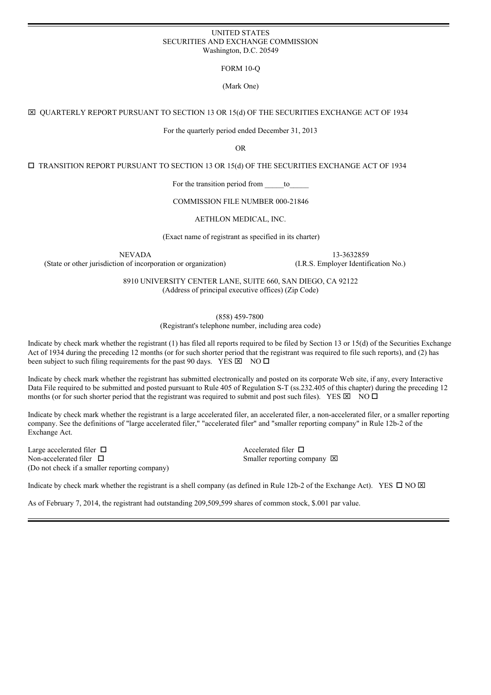#### UNITED STATES SECURITIES AND EXCHANGE COMMISSION Washington, D.C. 20549

## FORM 10-Q

## (Mark One)

 $\boxtimes$  QUARTERLY REPORT PURSUANT TO SECTION 13 OR 15(d) OF THE SECURITIES EXCHANGE ACT OF 1934

For the quarterly period ended December 31, 2013

OR

 $\square$  TRANSITION REPORT PURSUANT TO SECTION 13 OR 15(d) OF THE SECURITIES EXCHANGE ACT OF 1934

For the transition period from \_\_\_\_\_to\_

COMMISSION FILE NUMBER 000-21846

AETHLON MEDICAL, INC.

(Exact name of registrant as specified in its charter)

NEVADA 13-3632859 (State or other jurisdiction of incorporation or organization) (I.R.S. Employer Identification No.)

8910 UNIVERSITY CENTER LANE, SUITE 660, SAN DIEGO, CA 92122 (Address of principal executive offices) (Zip Code)

(858) 459-7800

(Registrant's telephone number, including area code)

Indicate by check mark whether the registrant (1) has filed all reports required to be filed by Section 13 or 15(d) of the Securities Exchange Act of 1934 during the preceding 12 months (or for such shorter period that the registrant was required to file such reports), and (2) has been subject to such filing requirements for the past 90 days. YES  $\boxtimes$  NO  $\square$ 

Indicate by check mark whether the registrant has submitted electronically and posted on its corporate Web site, if any, every Interactive Data File required to be submitted and posted pursuant to Rule 405 of Regulation S-T (ss.232.405 of this chapter) during the preceding 12 months (or for such shorter period that the registrant was required to submit and post such files). YES  $\boxtimes$  NO  $\square$ 

Indicate by check mark whether the registrant is a large accelerated filer, an accelerated filer, a non-accelerated filer, or a smaller reporting company. See the definitions of "large accelerated filer," "accelerated filer" and "smaller reporting company" in Rule 12b-2 of the Exchange Act.

Large accelerated filer  $\Box$ Non-accelerated filer  $\Box$ (Do not check if a smaller reporting company)

Smaller reporting company  $\boxtimes$ 

Indicate by check mark whether the registrant is a shell company (as defined in Rule 12b-2 of the Exchange Act). YES  $\square$  NO  $\boxtimes$ 

As of February 7, 2014, the registrant had outstanding 209,509,599 shares of common stock, \$.001 par value.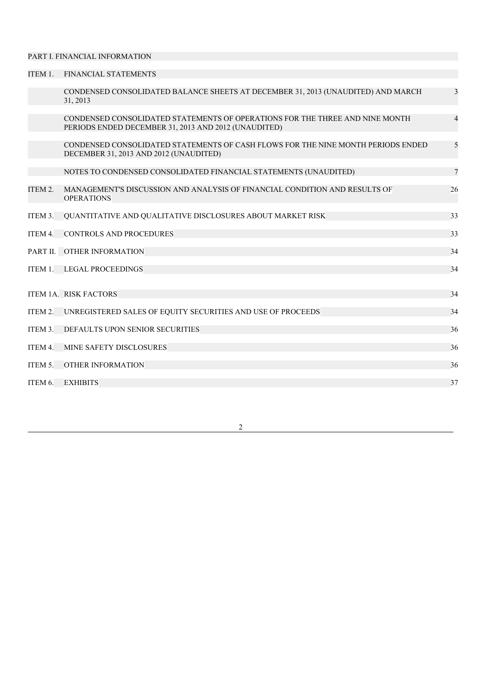# PART I. FINANCIAL INFORMATION

| ITEM 1. | FINANCIAL STATEMENTS                                                                                                                 |                |
|---------|--------------------------------------------------------------------------------------------------------------------------------------|----------------|
|         | CONDENSED CONSOLIDATED BALANCE SHEETS AT DECEMBER 31, 2013 (UNAUDITED) AND MARCH<br>31, 2013                                         | 3              |
|         | CONDENSED CONSOLIDATED STATEMENTS OF OPERATIONS FOR THE THREE AND NINE MONTH<br>PERIODS ENDED DECEMBER 31, 2013 AND 2012 (UNAUDITED) | $\overline{4}$ |
|         | CONDENSED CONSOLIDATED STATEMENTS OF CASH FLOWS FOR THE NINE MONTH PERIODS ENDED<br>DECEMBER 31, 2013 AND 2012 (UNAUDITED)           | 5              |
|         | NOTES TO CONDENSED CONSOLIDATED FINANCIAL STATEMENTS (UNAUDITED)                                                                     | $\overline{7}$ |
| ITEM 2. | MANAGEMENT'S DISCUSSION AND ANALYSIS OF FINANCIAL CONDITION AND RESULTS OF<br><b>OPERATIONS</b>                                      | 26             |
| ITEM 3. | QUANTITATIVE AND QUALITATIVE DISCLOSURES ABOUT MARKET RISK                                                                           | 33             |
| ITEM 4. | <b>CONTROLS AND PROCEDURES</b>                                                                                                       | 33             |
|         | PART II. OTHER INFORMATION                                                                                                           | 34             |
|         | ITEM 1. LEGAL PROCEEDINGS                                                                                                            | 34             |
|         | ITEM 1A. RISK FACTORS                                                                                                                | 34             |
| ITEM 2. | UNREGISTERED SALES OF EQUITY SECURITIES AND USE OF PROCEEDS                                                                          | 34             |
| ITEM 3. | DEFAULTS UPON SENIOR SECURITIES                                                                                                      | 36             |
| ITEM 4. | MINE SAFETY DISCLOSURES                                                                                                              | 36             |
| ITEM 5. | <b>OTHER INFORMATION</b>                                                                                                             | 36             |
| ITEM 6. | <b>EXHIBITS</b>                                                                                                                      | 37             |
|         |                                                                                                                                      |                |

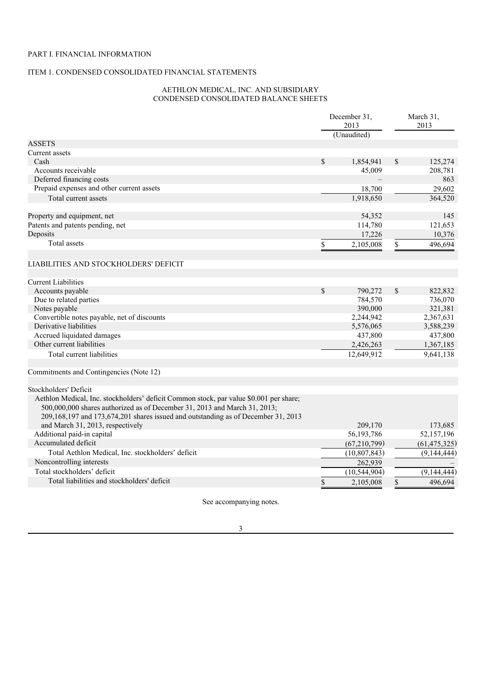# PART I. FINANCIAL INFORMATION

# ITEM 1. CONDENSED CONSOLIDATED FINANCIAL STATEMENTS

## AETHLON MEDICAL, INC. AND SUBSIDIARY CONDENSED CONSOLIDATED BALANCE SHEETS

|                                                                                                                                                                                                                                                          |               | December 31,<br>2013<br>(Unaudited) | March 31,<br>2013 |  |
|----------------------------------------------------------------------------------------------------------------------------------------------------------------------------------------------------------------------------------------------------------|---------------|-------------------------------------|-------------------|--|
| <b>ASSETS</b>                                                                                                                                                                                                                                            |               |                                     |                   |  |
| Current assets                                                                                                                                                                                                                                           |               |                                     |                   |  |
| Cash                                                                                                                                                                                                                                                     | \$            | 1,854,941                           | \$<br>125,274     |  |
| Accounts receivable                                                                                                                                                                                                                                      |               | 45,009                              | 208,781           |  |
| Deferred financing costs                                                                                                                                                                                                                                 |               |                                     | 863               |  |
| Prepaid expenses and other current assets                                                                                                                                                                                                                |               | 18,700                              | 29,602            |  |
| Total current assets                                                                                                                                                                                                                                     |               | 1,918,650                           | 364,520           |  |
| Property and equipment, net                                                                                                                                                                                                                              |               | 54,352                              | 145               |  |
| Patents and patents pending, net                                                                                                                                                                                                                         |               | 114,780                             | 121,653           |  |
| Deposits                                                                                                                                                                                                                                                 |               | 17,226                              | 10,376            |  |
| <b>Total</b> assets                                                                                                                                                                                                                                      | \$            | 2,105,008                           | \$<br>496,694     |  |
| LIABILITIES AND STOCKHOLDERS' DEFICIT                                                                                                                                                                                                                    |               |                                     |                   |  |
| <b>Current Liabilities</b>                                                                                                                                                                                                                               |               |                                     |                   |  |
| Accounts payable                                                                                                                                                                                                                                         | $\mathcal{S}$ | 790,272                             | \$<br>822,832     |  |
| Due to related parties                                                                                                                                                                                                                                   |               | 784,570                             | 736,070           |  |
| Notes payable                                                                                                                                                                                                                                            |               | 390,000                             | 321,381           |  |
| Convertible notes payable, net of discounts                                                                                                                                                                                                              |               | 2,244,942                           | 2,367,631         |  |
| Derivative liabilities                                                                                                                                                                                                                                   |               | 5,576,065                           | 3,588,239         |  |
| Accrued liquidated damages                                                                                                                                                                                                                               |               | 437,800                             | 437,800           |  |
| Other current liabilities                                                                                                                                                                                                                                |               | 2,426,263                           | 1,367,185         |  |
| Total current liabilities                                                                                                                                                                                                                                |               | 12,649,912                          | 9,641,138         |  |
| Commitments and Contingencies (Note 12)                                                                                                                                                                                                                  |               |                                     |                   |  |
| Stockholders' Deficit                                                                                                                                                                                                                                    |               |                                     |                   |  |
| Aethlon Medical, Inc. stockholders' deficit Common stock, par value \$0.001 per share;<br>500,000,000 shares authorized as of December 31, 2013 and March 31, 2013;<br>209,168,197 and 173,674,201 shares issued and outstanding as of December 31, 2013 |               |                                     |                   |  |
| and March 31, 2013, respectively                                                                                                                                                                                                                         |               | 209,170                             | 173,685           |  |
| Additional paid-in capital                                                                                                                                                                                                                               |               | 56,193,786                          | 52,157,196        |  |
| Accumulated deficit                                                                                                                                                                                                                                      |               | (67, 210, 799)                      | (61, 475, 325)    |  |
| Total Aethlon Medical, Inc. stockholders' deficit                                                                                                                                                                                                        |               | (10, 807, 843)                      | (9,144,444)       |  |
| Noncontrolling interests                                                                                                                                                                                                                                 |               | 262,939                             |                   |  |
| Total stockholders' deficit                                                                                                                                                                                                                              |               | (10, 544, 904)                      | (9,144,444)       |  |
| Total liabilities and stockholders' deficit                                                                                                                                                                                                              | \$            | 2,105,008                           | \$<br>496.694     |  |

See accompanying notes.

## 3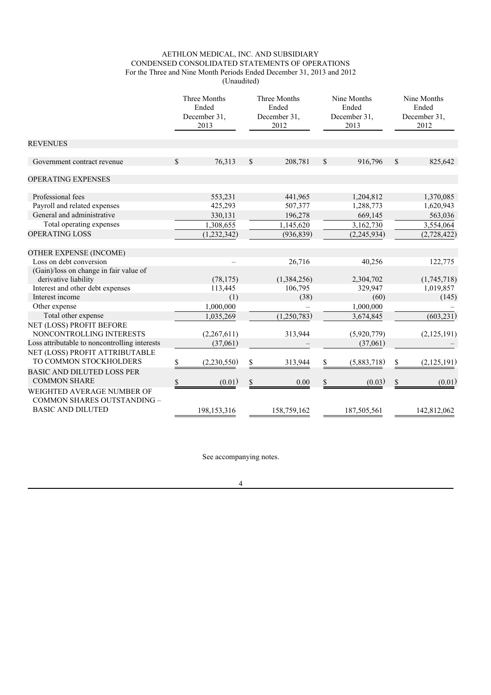## AETHLON MEDICAL, INC. AND SUBSIDIARY CONDENSED CONSOLIDATED STATEMENTS OF OPERATIONS For the Three and Nine Month Periods Ended December 31, 2013 and 2012 (Unaudited)

|                                                                |    | Three Months<br>Ended<br>December 31,<br>2013 |    | Three Months<br>Ended<br>December 31,<br>2012 | Nine Months<br>Ended<br>December 31,<br>2013 | Nine Months<br>Ended<br>December 31,<br>2012 |               |  |
|----------------------------------------------------------------|----|-----------------------------------------------|----|-----------------------------------------------|----------------------------------------------|----------------------------------------------|---------------|--|
| <b>REVENUES</b>                                                |    |                                               |    |                                               |                                              |                                              |               |  |
| Government contract revenue                                    | \$ | 76,313                                        | \$ | 208,781                                       | \$<br>916,796                                | $\mathcal{S}$                                | 825,642       |  |
| <b>OPERATING EXPENSES</b>                                      |    |                                               |    |                                               |                                              |                                              |               |  |
| Professional fees                                              |    | 553,231                                       |    | 441,965                                       | 1,204,812                                    |                                              | 1,370,085     |  |
| Payroll and related expenses                                   |    | 425,293                                       |    | 507,377                                       | 1,288,773                                    |                                              | 1,620,943     |  |
| General and administrative                                     |    | 330,131                                       |    | 196,278                                       | 669,145                                      |                                              | 563,036       |  |
| Total operating expenses                                       |    | 1,308,655                                     |    | 1,145,620                                     | 3,162,730                                    |                                              | 3,554,064     |  |
| <b>OPERATING LOSS</b>                                          |    | (1, 232, 342)                                 |    | (936, 839)                                    | (2, 245, 934)                                |                                              | (2,728,422)   |  |
| OTHER EXPENSE (INCOME)                                         |    |                                               |    |                                               |                                              |                                              |               |  |
| Loss on debt conversion                                        |    |                                               |    | 26,716                                        | 40,256                                       |                                              | 122,775       |  |
| (Gain)/loss on change in fair value of<br>derivative liability |    | (78, 175)                                     |    | (1,384,256)                                   | 2,304,702                                    |                                              | (1,745,718)   |  |
| Interest and other debt expenses                               |    | 113,445                                       |    | 106,795                                       | 329,947                                      |                                              | 1,019,857     |  |
| Interest income                                                |    | (1)                                           |    | (38)                                          | (60)                                         |                                              | (145)         |  |
| Other expense                                                  |    | 1,000,000                                     |    |                                               | 1,000,000                                    |                                              |               |  |
| Total other expense                                            |    | 1,035,269                                     |    | (1,250,783)                                   | 3,674,845                                    |                                              | (603, 231)    |  |
| NET (LOSS) PROFIT BEFORE                                       |    |                                               |    |                                               |                                              |                                              |               |  |
| NONCONTROLLING INTERESTS                                       |    | (2,267,611)                                   |    | 313,944                                       | (5,920,779)                                  |                                              | (2, 125, 191) |  |
| Loss attributable to noncontrolling interests                  |    | (37,061)                                      |    |                                               | (37,061)                                     |                                              |               |  |
| NET (LOSS) PROFIT ATTRIBUTABLE                                 |    |                                               |    |                                               |                                              |                                              |               |  |
| TO COMMON STOCKHOLDERS                                         | S  | (2,230,550)                                   | S  | 313,944                                       | \$<br>(5,883,718)                            | \$                                           | (2,125,191)   |  |
| <b>BASIC AND DILUTED LOSS PER</b><br><b>COMMON SHARE</b>       | \$ | (0.01)                                        | \$ | 0.00                                          | \$<br>(0.03)                                 | \$                                           | (0.01)        |  |
| WEIGHTED AVERAGE NUMBER OF<br>COMMON SHARES OUTSTANDING -      |    |                                               |    |                                               |                                              |                                              |               |  |
| <b>BASIC AND DILUTED</b>                                       |    | 198,153,316                                   |    | 158,759,162                                   | 187,505,561                                  |                                              | 142,812,062   |  |

See accompanying notes.

| I |  |
|---|--|
|   |  |
|   |  |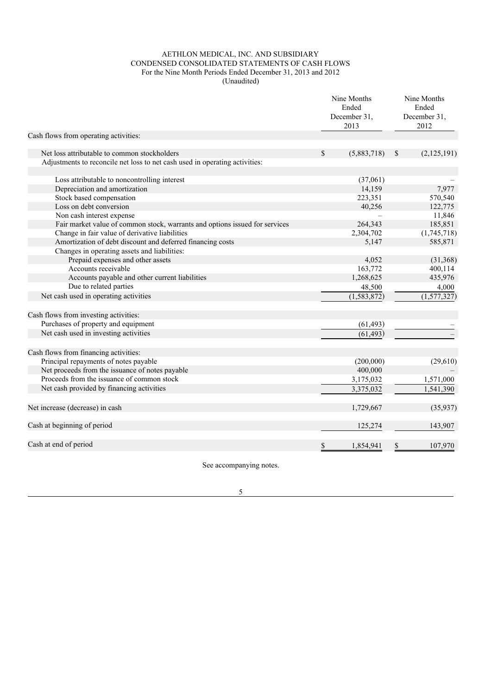## AETHLON MEDICAL, INC. AND SUBSIDIARY CONDENSED CONSOLIDATED STATEMENTS OF CASH FLOWS For the Nine Month Periods Ended December 31, 2013 and 2012 (Unaudited)

|                                                                             | Nine Months<br>Ended<br>December 31.<br>2013 | Nine Months<br>Ended<br>December 31,<br>2012 |
|-----------------------------------------------------------------------------|----------------------------------------------|----------------------------------------------|
| Cash flows from operating activities:                                       |                                              |                                              |
| Net loss attributable to common stockholders                                | \$<br>(5,883,718)                            | \$<br>(2,125,191)                            |
| Adjustments to reconcile net loss to net cash used in operating activities: |                                              |                                              |
| Loss attributable to noncontrolling interest                                | (37,061)                                     |                                              |
| Depreciation and amortization                                               | 14,159                                       | 7,977                                        |
| Stock based compensation                                                    | 223,351                                      | 570,540                                      |
| Loss on debt conversion                                                     | 40,256                                       | 122,775                                      |
| Non cash interest expense                                                   |                                              | 11,846                                       |
| Fair market value of common stock, warrants and options issued for services | 264,343                                      | 185,851                                      |
| Change in fair value of derivative liabilities                              | 2,304,702                                    | (1,745,718)                                  |
| Amortization of debt discount and deferred financing costs                  | 5,147                                        | 585,871                                      |
| Changes in operating assets and liabilities:                                |                                              |                                              |
| Prepaid expenses and other assets                                           | 4,052                                        | (31, 368)                                    |
| Accounts receivable                                                         | 163,772                                      | 400,114                                      |
| Accounts payable and other current liabilities                              | 1,268,625                                    | 435,976                                      |
| Due to related parties                                                      | 48,500                                       | 4,000                                        |
| Net cash used in operating activities                                       | (1, 583, 872)                                | (1,577,327)                                  |
| Cash flows from investing activities:                                       |                                              |                                              |
| Purchases of property and equipment                                         | (61, 493)                                    |                                              |
| Net cash used in investing activities                                       | (61, 493)                                    |                                              |
| Cash flows from financing activities:                                       |                                              |                                              |
| Principal repayments of notes payable                                       | (200,000)                                    | (29,610)                                     |
| Net proceeds from the issuance of notes payable                             | 400,000                                      |                                              |
| Proceeds from the issuance of common stock                                  | 3,175,032                                    | 1,571,000                                    |
| Net cash provided by financing activities                                   | 3,375,032                                    | 1,541,390                                    |
| Net increase (decrease) in cash                                             | 1,729,667                                    | (35, 937)                                    |
| Cash at beginning of period                                                 | 125,274                                      | 143,907                                      |
| Cash at end of period                                                       | \$<br>1,854,941                              | \$<br>107,970                                |

See accompanying notes.

5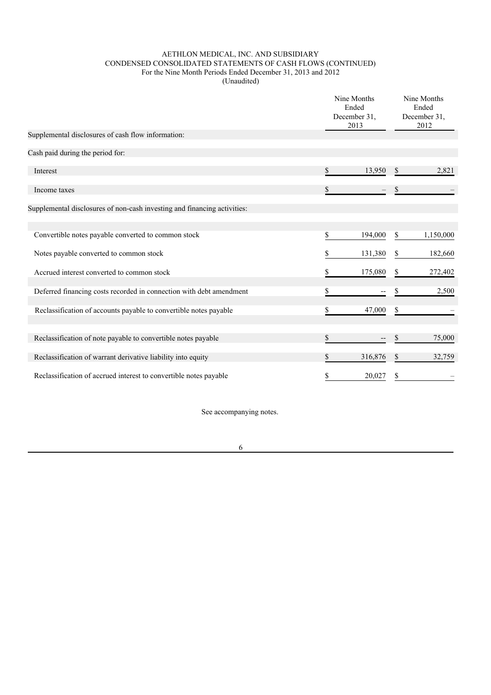## AETHLON MEDICAL, INC. AND SUBSIDIARY CONDENSED CONSOLIDATED STATEMENTS OF CASH FLOWS (CONTINUED) For the Nine Month Periods Ended December 31, 2013 and 2012 (Unaudited)

|                                                                          | Nine Months<br>Ended<br>December 31,<br>2013 | Nine Months<br>Ended<br>December 31,<br>2012 |           |  |
|--------------------------------------------------------------------------|----------------------------------------------|----------------------------------------------|-----------|--|
| Supplemental disclosures of cash flow information:                       |                                              |                                              |           |  |
| Cash paid during the period for:                                         |                                              |                                              |           |  |
| Interest                                                                 | \$<br>13,950                                 | \$                                           | 2,821     |  |
| Income taxes                                                             | \$                                           | \$                                           |           |  |
| Supplemental disclosures of non-cash investing and financing activities: |                                              |                                              |           |  |
| Convertible notes payable converted to common stock                      | \$<br>194,000                                | \$                                           | 1,150,000 |  |
| Notes payable converted to common stock                                  | \$<br>131,380                                | S                                            | 182,660   |  |
| Accrued interest converted to common stock                               | \$<br>175,080                                | \$                                           | 272,402   |  |
| Deferred financing costs recorded in connection with debt amendment      | \$                                           | \$                                           | 2,500     |  |
| Reclassification of accounts payable to convertible notes payable        | \$<br>47,000                                 | \$                                           |           |  |
| Reclassification of note payable to convertible notes payable            | \$                                           | S                                            | 75,000    |  |
| Reclassification of warrant derivative liability into equity             | \$<br>316,876                                | \$                                           | 32,759    |  |
| Reclassification of accrued interest to convertible notes payable        | \$<br>20,027                                 | S                                            |           |  |

See accompanying notes.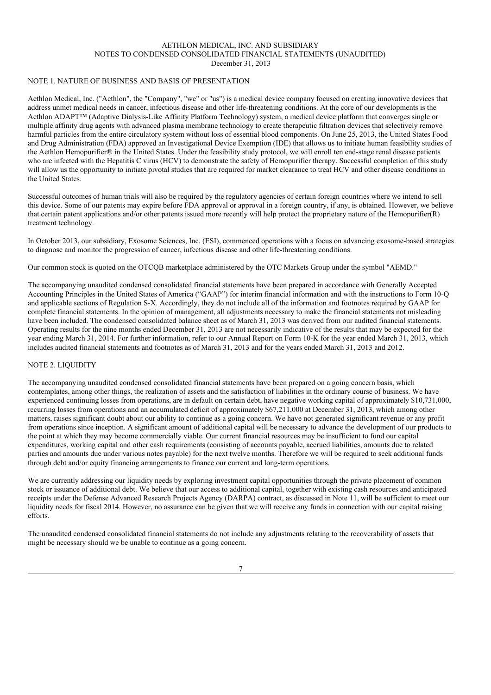#### AETHLON MEDICAL, INC. AND SUBSIDIARY NOTES TO CONDENSED CONSOLIDATED FINANCIAL STATEMENTS (UNAUDITED) December 31, 2013

## NOTE 1. NATURE OF BUSINESS AND BASIS OF PRESENTATION

Aethlon Medical, Inc. ("Aethlon", the "Company", "we" or "us") is a medical device company focused on creating innovative devices that address unmet medical needs in cancer, infectious disease and other life-threatening conditions. At the core of our developments is the Aethlon ADAPT™ (Adaptive Dialysis-Like Affinity Platform Technology) system, a medical device platform that converges single or multiple affinity drug agents with advanced plasma membrane technology to create therapeutic filtration devices that selectively remove harmful particles from the entire circulatory system without loss of essential blood components. On June 25, 2013, the United States Food and Drug Administration (FDA) approved an Investigational Device Exemption (IDE) that allows us to initiate human feasibility studies of the Aethlon Hemopurifier® in the United States. Under the feasibility study protocol, we will enroll ten end-stage renal disease patients who are infected with the Hepatitis C virus (HCV) to demonstrate the safety of Hemopurifier therapy. Successful completion of this study will allow us the opportunity to initiate pivotal studies that are required for market clearance to treat HCV and other disease conditions in the United States.

Successful outcomes of human trials will also be required by the regulatory agencies of certain foreign countries where we intend to sell this device. Some of our patents may expire before FDA approval or approval in a foreign country, if any, is obtained. However, we believe that certain patent applications and/or other patents issued more recently will help protect the proprietary nature of the Hemopurifier(R) treatment technology.

In October 2013, our subsidiary, Exosome Sciences, Inc. (ESI), commenced operations with a focus on advancing exosome-based strategies to diagnose and monitor the progression of cancer, infectious disease and other life-threatening conditions.

Our common stock is quoted on the OTCQB marketplace administered by the OTC Markets Group under the symbol "AEMD."

The accompanying unaudited condensed consolidated financial statements have been prepared in accordance with Generally Accepted Accounting Principles in the United States of America ("GAAP") for interim financial information and with the instructions to Form 10-Q and applicable sections of Regulation S-X. Accordingly, they do not include all of the information and footnotes required by GAAP for complete financial statements. In the opinion of management, all adjustments necessary to make the financial statements not misleading have been included. The condensed consolidated balance sheet as of March 31, 2013 was derived from our audited financial statements. Operating results for the nine months ended December 31, 2013 are not necessarily indicative of the results that may be expected for the year ending March 31, 2014. For further information, refer to our Annual Report on Form 10-K for the year ended March 31, 2013, which includes audited financial statements and footnotes as of March 31, 2013 and for the years ended March 31, 2013 and 2012.

## NOTE 2. LIQUIDITY

The accompanying unaudited condensed consolidated financial statements have been prepared on a going concern basis, which contemplates, among other things, the realization of assets and the satisfaction of liabilities in the ordinary course of business. We have experienced continuing losses from operations, are in default on certain debt, have negative working capital of approximately \$10,731,000, recurring losses from operations and an accumulated deficit of approximately \$67,211,000 at December 31, 2013, which among other matters, raises significant doubt about our ability to continue as a going concern. We have not generated significant revenue or any profit from operations since inception. A significant amount of additional capital will be necessary to advance the development of our products to the point at which they may become commercially viable. Our current financial resources may be insufficient to fund our capital expenditures, working capital and other cash requirements (consisting of accounts payable, accrued liabilities, amounts due to related parties and amounts due under various notes payable) for the next twelve months. Therefore we will be required to seek additional funds through debt and/or equity financing arrangements to finance our current and long-term operations.

We are currently addressing our liquidity needs by exploring investment capital opportunities through the private placement of common stock or issuance of additional debt. We believe that our access to additional capital, together with existing cash resources and anticipated receipts under the Defense Advanced Research Projects Agency (DARPA) contract, as discussed in Note 11, will be sufficient to meet our liquidity needs for fiscal 2014. However, no assurance can be given that we will receive any funds in connection with our capital raising efforts.

The unaudited condensed consolidated financial statements do not include any adjustments relating to the recoverability of assets that might be necessary should we be unable to continue as a going concern.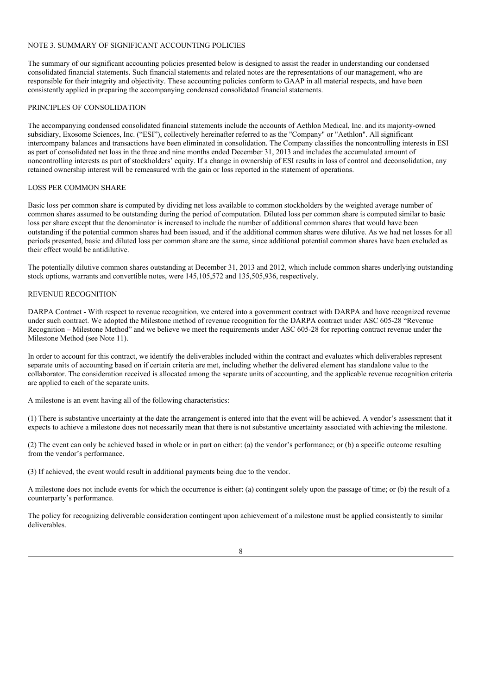## NOTE 3. SUMMARY OF SIGNIFICANT ACCOUNTING POLICIES

The summary of our significant accounting policies presented below is designed to assist the reader in understanding our condensed consolidated financial statements. Such financial statements and related notes are the representations of our management, who are responsible for their integrity and objectivity. These accounting policies conform to GAAP in all material respects, and have been consistently applied in preparing the accompanying condensed consolidated financial statements.

## PRINCIPLES OF CONSOLIDATION

The accompanying condensed consolidated financial statements include the accounts of Aethlon Medical, Inc. and its majority-owned subsidiary, Exosome Sciences, Inc. ("ESI"), collectively hereinafter referred to as the "Company" or "Aethlon". All significant intercompany balances and transactions have been eliminated in consolidation. The Company classifies the noncontrolling interests in ESI as part of consolidated net loss in the three and nine months ended December 31, 2013 and includes the accumulated amount of noncontrolling interests as part of stockholders' equity. If a change in ownership of ESI results in loss of control and deconsolidation, any retained ownership interest will be remeasured with the gain or loss reported in the statement of operations.

## LOSS PER COMMON SHARE

Basic loss per common share is computed by dividing net loss available to common stockholders by the weighted average number of common shares assumed to be outstanding during the period of computation. Diluted loss per common share is computed similar to basic loss per share except that the denominator is increased to include the number of additional common shares that would have been outstanding if the potential common shares had been issued, and if the additional common shares were dilutive. As we had net losses for all periods presented, basic and diluted loss per common share are the same, since additional potential common shares have been excluded as their effect would be antidilutive.

The potentially dilutive common shares outstanding at December 31, 2013 and 2012, which include common shares underlying outstanding stock options, warrants and convertible notes, were 145,105,572 and 135,505,936, respectively.

## REVENUE RECOGNITION

DARPA Contract - With respect to revenue recognition, we entered into a government contract with DARPA and have recognized revenue under such contract. We adopted the Milestone method of revenue recognition for the DARPA contract under ASC 605-28 "Revenue Recognition – Milestone Method" and we believe we meet the requirements under ASC 605-28 for reporting contract revenue under the Milestone Method (see Note 11).

In order to account for this contract, we identify the deliverables included within the contract and evaluates which deliverables represent separate units of accounting based on if certain criteria are met, including whether the delivered element has standalone value to the collaborator. The consideration received is allocated among the separate units of accounting, and the applicable revenue recognition criteria are applied to each of the separate units.

A milestone is an event having all of the following characteristics:

(1) There is substantive uncertainty at the date the arrangement is entered into that the event will be achieved. A vendor's assessment that it expects to achieve a milestone does not necessarily mean that there is not substantive uncertainty associated with achieving the milestone.

(2) The event can only be achieved based in whole or in part on either: (a) the vendor's performance; or (b) a specific outcome resulting from the vendor's performance.

(3) If achieved, the event would result in additional payments being due to the vendor.

A milestone does not include events for which the occurrence is either: (a) contingent solely upon the passage of time; or (b) the result of a counterparty's performance.

The policy for recognizing deliverable consideration contingent upon achievement of a milestone must be applied consistently to similar deliverables.

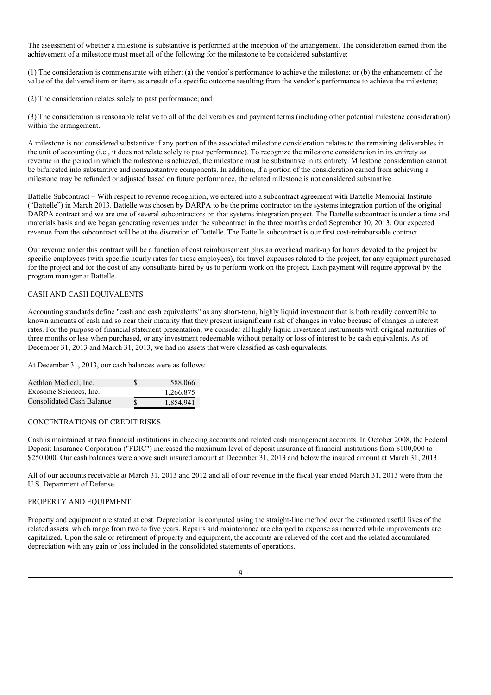The assessment of whether a milestone is substantive is performed at the inception of the arrangement. The consideration earned from the achievement of a milestone must meet all of the following for the milestone to be considered substantive:

(1) The consideration is commensurate with either: (a) the vendor's performance to achieve the milestone; or (b) the enhancement of the value of the delivered item or items as a result of a specific outcome resulting from the vendor's performance to achieve the milestone;

(2) The consideration relates solely to past performance; and

(3) The consideration is reasonable relative to all of the deliverables and payment terms (including other potential milestone consideration) within the arrangement.

A milestone is not considered substantive if any portion of the associated milestone consideration relates to the remaining deliverables in the unit of accounting (i.e., it does not relate solely to past performance). To recognize the milestone consideration in its entirety as revenue in the period in which the milestone is achieved, the milestone must be substantive in its entirety. Milestone consideration cannot be bifurcated into substantive and nonsubstantive components. In addition, if a portion of the consideration earned from achieving a milestone may be refunded or adjusted based on future performance, the related milestone is not considered substantive.

Battelle Subcontract – With respect to revenue recognition, we entered into a subcontract agreement with Battelle Memorial Institute ("Battelle") in March 2013. Battelle was chosen by DARPA to be the prime contractor on the systems integration portion of the original DARPA contract and we are one of several subcontractors on that systems integration project. The Battelle subcontract is under a time and materials basis and we began generating revenues under the subcontract in the three months ended September 30, 2013. Our expected revenue from the subcontract will be at the discretion of Battelle. The Battelle subcontract is our first cost-reimbursable contract.

Our revenue under this contract will be a function of cost reimbursement plus an overhead mark-up for hours devoted to the project by specific employees (with specific hourly rates for those employees), for travel expenses related to the project, for any equipment purchased for the project and for the cost of any consultants hired by us to perform work on the project. Each payment will require approval by the program manager at Battelle.

## CASH AND CASH EQUIVALENTS

Accounting standards define "cash and cash equivalents" as any short-term, highly liquid investment that is both readily convertible to known amounts of cash and so near their maturity that they present insignificant risk of changes in value because of changes in interest rates. For the purpose of financial statement presentation, we consider all highly liquid investment instruments with original maturities of three months or less when purchased, or any investment redeemable without penalty or loss of interest to be cash equivalents. As of December 31, 2013 and March 31, 2013, we had no assets that were classified as cash equivalents.

At December 31, 2013, our cash balances were as follows:

| Aethlon Medical, Inc.     | S | 588,066   |
|---------------------------|---|-----------|
| Exosome Sciences, Inc.    |   | 1,266,875 |
| Consolidated Cash Balance | S | 1,854,941 |

## CONCENTRATIONS OF CREDIT RISKS

Cash is maintained at two financial institutions in checking accounts and related cash management accounts. In October 2008, the Federal Deposit Insurance Corporation ("FDIC") increased the maximum level of deposit insurance at financial institutions from \$100,000 to \$250,000. Our cash balances were above such insured amount at December 31, 2013 and below the insured amount at March 31, 2013.

All of our accounts receivable at March 31, 2013 and 2012 and all of our revenue in the fiscal year ended March 31, 2013 were from the U.S. Department of Defense.

## PROPERTY AND EQUIPMENT

Property and equipment are stated at cost. Depreciation is computed using the straight-line method over the estimated useful lives of the related assets, which range from two to five years. Repairs and maintenance are charged to expense as incurred while improvements are capitalized. Upon the sale or retirement of property and equipment, the accounts are relieved of the cost and the related accumulated depreciation with any gain or loss included in the consolidated statements of operations.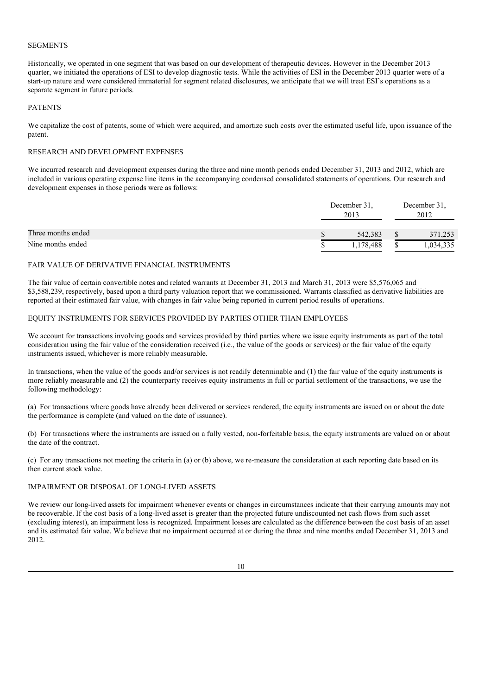#### SEGMENTS

Historically, we operated in one segment that was based on our development of therapeutic devices. However in the December 2013 quarter, we initiated the operations of ESI to develop diagnostic tests. While the activities of ESI in the December 2013 quarter were of a start-up nature and were considered immaterial for segment related disclosures, we anticipate that we will treat ESI's operations as a separate segment in future periods.

# PATENTS

We capitalize the cost of patents, some of which were acquired, and amortize such costs over the estimated useful life, upon issuance of the patent.

#### RESEARCH AND DEVELOPMENT EXPENSES

We incurred research and development expenses during the three and nine month periods ended December 31, 2013 and 2012, which are included in various operating expense line items in the accompanying condensed consolidated statements of operations. Our research and development expenses in those periods were as follows:

|                    | December 31.<br>2013 | December 31.<br>2012 |          |  |
|--------------------|----------------------|----------------------|----------|--|
| Three months ended | 542.383              |                      | 371,253  |  |
| Nine months ended  | 178,488              |                      | .034,335 |  |

#### FAIR VALUE OF DERIVATIVE FINANCIAL INSTRUMENTS

The fair value of certain convertible notes and related warrants at December 31, 2013 and March 31, 2013 were \$5,576,065 and \$3,588,239, respectively, based upon a third party valuation report that we commissioned. Warrants classified as derivative liabilities are reported at their estimated fair value, with changes in fair value being reported in current period results of operations.

#### EQUITY INSTRUMENTS FOR SERVICES PROVIDED BY PARTIES OTHER THAN EMPLOYEES

We account for transactions involving goods and services provided by third parties where we issue equity instruments as part of the total consideration using the fair value of the consideration received (i.e., the value of the goods or services) or the fair value of the equity instruments issued, whichever is more reliably measurable.

In transactions, when the value of the goods and/or services is not readily determinable and (1) the fair value of the equity instruments is more reliably measurable and (2) the counterparty receives equity instruments in full or partial settlement of the transactions, we use the following methodology:

(a) For transactions where goods have already been delivered or services rendered, the equity instruments are issued on or about the date the performance is complete (and valued on the date of issuance).

(b) For transactions where the instruments are issued on a fully vested, non-forfeitable basis, the equity instruments are valued on or about the date of the contract.

(c) For any transactions not meeting the criteria in (a) or (b) above, we re-measure the consideration at each reporting date based on its then current stock value.

## IMPAIRMENT OR DISPOSAL OF LONG-LIVED ASSETS

We review our long-lived assets for impairment whenever events or changes in circumstances indicate that their carrying amounts may not be recoverable. If the cost basis of a long-lived asset is greater than the projected future undiscounted net cash flows from such asset (excluding interest), an impairment loss is recognized. Impairment losses are calculated as the difference between the cost basis of an asset and its estimated fair value. We believe that no impairment occurred at or during the three and nine months ended December 31, 2013 and 2012.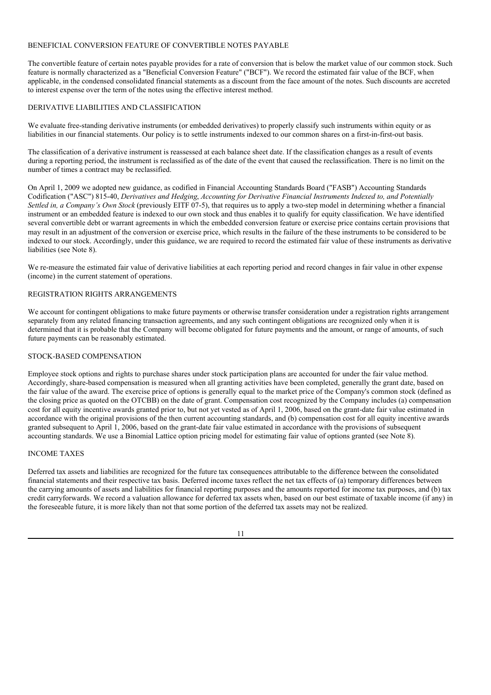#### BENEFICIAL CONVERSION FEATURE OF CONVERTIBLE NOTES PAYABLE

The convertible feature of certain notes payable provides for a rate of conversion that is below the market value of our common stock. Such feature is normally characterized as a "Beneficial Conversion Feature" ("BCF"). We record the estimated fair value of the BCF, when applicable, in the condensed consolidated financial statements as a discount from the face amount of the notes. Such discounts are accreted to interest expense over the term of the notes using the effective interest method.

## DERIVATIVE LIABILITIES AND CLASSIFICATION

We evaluate free-standing derivative instruments (or embedded derivatives) to properly classify such instruments within equity or as liabilities in our financial statements. Our policy is to settle instruments indexed to our common shares on a first-in-first-out basis.

The classification of a derivative instrument is reassessed at each balance sheet date. If the classification changes as a result of events during a reporting period, the instrument is reclassified as of the date of the event that caused the reclassification. There is no limit on the number of times a contract may be reclassified.

On April 1, 2009 we adopted new guidance, as codified in Financial Accounting Standards Board ("FASB") Accounting Standards Codification ("ASC") 815-40, *Derivatives and Hedging*, *Accounting for Derivative Financial Instruments Indexed to, and Potentially Settled in, a Company's Own Stock* (previously EITF 07-5), that requires us to apply a two-step model in determining whether a financial instrument or an embedded feature is indexed to our own stock and thus enables it to qualify for equity classification. We have identified several convertible debt or warrant agreements in which the embedded conversion feature or exercise price contains certain provisions that may result in an adjustment of the conversion or exercise price, which results in the failure of the these instruments to be considered to be indexed to our stock. Accordingly, under this guidance, we are required to record the estimated fair value of these instruments as derivative liabilities (see Note 8).

We re-measure the estimated fair value of derivative liabilities at each reporting period and record changes in fair value in other expense (income) in the current statement of operations.

## REGISTRATION RIGHTS ARRANGEMENTS

We account for contingent obligations to make future payments or otherwise transfer consideration under a registration rights arrangement separately from any related financing transaction agreements, and any such contingent obligations are recognized only when it is determined that it is probable that the Company will become obligated for future payments and the amount, or range of amounts, of such future payments can be reasonably estimated.

## STOCK-BASED COMPENSATION

Employee stock options and rights to purchase shares under stock participation plans are accounted for under the fair value method. Accordingly, share-based compensation is measured when all granting activities have been completed, generally the grant date, based on the fair value of the award. The exercise price of options is generally equal to the market price of the Company's common stock (defined as the closing price as quoted on the OTCBB) on the date of grant. Compensation cost recognized by the Company includes (a) compensation cost for all equity incentive awards granted prior to, but not yet vested as of April 1, 2006, based on the grant-date fair value estimated in accordance with the original provisions of the then current accounting standards, and (b) compensation cost for all equity incentive awards granted subsequent to April 1, 2006, based on the grant-date fair value estimated in accordance with the provisions of subsequent accounting standards. We use a Binomial Lattice option pricing model for estimating fair value of options granted (see Note 8).

#### INCOME TAXES

Deferred tax assets and liabilities are recognized for the future tax consequences attributable to the difference between the consolidated financial statements and their respective tax basis. Deferred income taxes reflect the net tax effects of (a) temporary differences between the carrying amounts of assets and liabilities for financial reporting purposes and the amounts reported for income tax purposes, and (b) tax credit carryforwards. We record a valuation allowance for deferred tax assets when, based on our best estimate of taxable income (if any) in the foreseeable future, it is more likely than not that some portion of the deferred tax assets may not be realized.

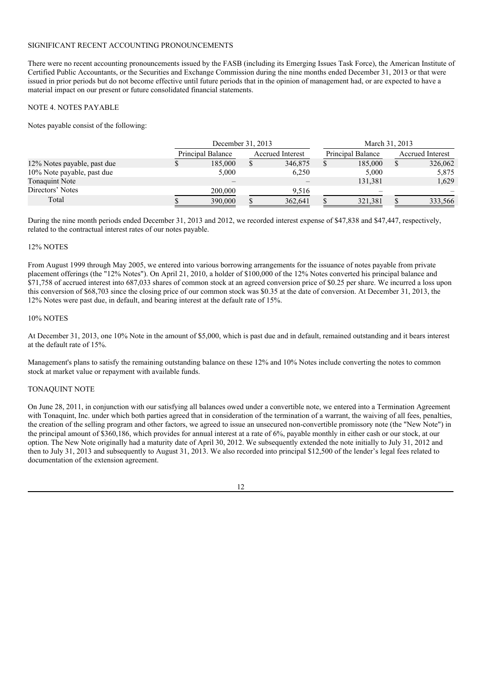## SIGNIFICANT RECENT ACCOUNTING PRONOUNCEMENTS

There were no recent accounting pronouncements issued by the FASB (including its Emerging Issues Task Force), the American Institute of Certified Public Accountants, or the Securities and Exchange Commission during the nine months ended December 31, 2013 or that were issued in prior periods but do not become effective until future periods that in the opinion of management had, or are expected to have a material impact on our present or future consolidated financial statements.

## NOTE 4. NOTES PAYABLE

Notes payable consist of the following:

|                             | December 31, 2013 |  | March 31, 2013          |  |                   |                         |         |  |
|-----------------------------|-------------------|--|-------------------------|--|-------------------|-------------------------|---------|--|
|                             | Principal Balance |  | <b>Accrued Interest</b> |  | Principal Balance | <b>Accrued Interest</b> |         |  |
| 12% Notes payable, past due | 185,000           |  | 346,875                 |  | 185,000           |                         | 326,062 |  |
| 10% Note payable, past due  | 5.000             |  | 6,250                   |  | 5,000             |                         | 5,875   |  |
| Tonaquint Note              |                   |  |                         |  | 131,381           |                         | 1,629   |  |
| Directors' Notes            | 200,000           |  | 9,516                   |  |                   |                         |         |  |
| Total                       | 390,000           |  | 362,641                 |  | 321.381           |                         | 333.566 |  |

During the nine month periods ended December 31, 2013 and 2012, we recorded interest expense of \$47,838 and \$47,447, respectively, related to the contractual interest rates of our notes payable.

## 12% NOTES

From August 1999 through May 2005, we entered into various borrowing arrangements for the issuance of notes payable from private placement offerings (the "12% Notes"). On April 21, 2010, a holder of \$100,000 of the 12% Notes converted his principal balance and \$71,758 of accrued interest into 687,033 shares of common stock at an agreed conversion price of \$0.25 per share. We incurred a loss upon this conversion of \$68,703 since the closing price of our common stock was \$0.35 at the date of conversion. At December 31, 2013, the 12% Notes were past due, in default, and bearing interest at the default rate of 15%.

## 10% NOTES

At December 31, 2013, one 10% Note in the amount of \$5,000, which is past due and in default, remained outstanding and it bears interest at the default rate of 15%.

Management's plans to satisfy the remaining outstanding balance on these 12% and 10% Notes include converting the notes to common stock at market value or repayment with available funds.

## TONAQUINT NOTE

On June 28, 2011, in conjunction with our satisfying all balances owed under a convertible note, we entered into a Termination Agreement with Tonaquint, Inc. under which both parties agreed that in consideration of the termination of a warrant, the waiving of all fees, penalties, the creation of the selling program and other factors, we agreed to issue an unsecured non-convertible promissory note (the "New Note") in the principal amount of \$360,186, which provides for annual interest at a rate of 6%, payable monthly in either cash or our stock, at our option. The New Note originally had a maturity date of April 30, 2012. We subsequently extended the note initially to July 31, 2012 and then to July 31, 2013 and subsequently to August 31, 2013. We also recorded into principal \$12,500 of the lender's legal fees related to documentation of the extension agreement.

## 12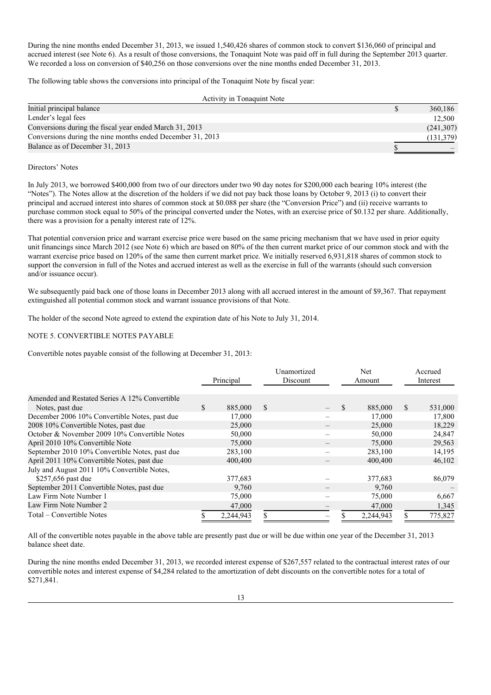During the nine months ended December 31, 2013, we issued 1,540,426 shares of common stock to convert \$136,060 of principal and accrued interest (see Note 6). As a result of those conversions, the Tonaquint Note was paid off in full during the September 2013 quarter. We recorded a loss on conversion of \$40,256 on those conversions over the nine months ended December 31, 2013.

The following table shows the conversions into principal of the Tonaquint Note by fiscal year:

| Activity in Tonaquint Note                                 |  |            |  |  |  |
|------------------------------------------------------------|--|------------|--|--|--|
| Initial principal balance                                  |  | 360,186    |  |  |  |
| Lender's legal fees                                        |  | 12,500     |  |  |  |
| Conversions during the fiscal year ended March 31, 2013    |  | (241, 307) |  |  |  |
| Conversions during the nine months ended December 31, 2013 |  | (131, 379) |  |  |  |
| Balance as of December 31, 2013                            |  |            |  |  |  |

#### Directors' Notes

In July 2013, we borrowed \$400,000 from two of our directors under two 90 day notes for \$200,000 each bearing 10% interest (the "Notes"). The Notes allow at the discretion of the holders if we did not pay back those loans by October 9, 2013 (i) to convert their principal and accrued interest into shares of common stock at \$0.088 per share (the "Conversion Price") and (ii) receive warrants to purchase common stock equal to 50% of the principal converted under the Notes, with an exercise price of \$0.132 per share. Additionally, there was a provision for a penalty interest rate of 12%.

That potential conversion price and warrant exercise price were based on the same pricing mechanism that we have used in prior equity unit financings since March 2012 (see Note 6) which are based on 80% of the then current market price of our common stock and with the warrant exercise price based on 120% of the same then current market price. We initially reserved 6,931,818 shares of common stock to support the conversion in full of the Notes and accrued interest as well as the exercise in full of the warrants (should such conversion and/or issuance occur).

We subsequently paid back one of those loans in December 2013 along with all accrued interest in the amount of \$9,367. That repayment extinguished all potential common stock and warrant issuance provisions of that Note.

The holder of the second Note agreed to extend the expiration date of his Note to July 31, 2014.

## NOTE 5. CONVERTIBLE NOTES PAYABLE

Convertible notes payable consist of the following at December 31, 2013:

|                                                | Principal |           | Unamortized<br>Discount |  | Net<br>Amount |     | Accrued<br>Interest |    |         |
|------------------------------------------------|-----------|-----------|-------------------------|--|---------------|-----|---------------------|----|---------|
|                                                |           |           |                         |  |               |     |                     |    |         |
| Amended and Restated Series A 12% Convertible  |           |           |                         |  |               |     |                     |    |         |
| Notes, past due                                | \$        | 885,000   | \$.                     |  |               | \$. | 885,000             | S. | 531,000 |
| December 2006 10% Convertible Notes, past due  |           | 17,000    |                         |  |               |     | 17,000              |    | 17,800  |
| 2008 10% Convertible Notes, past due           |           | 25,000    |                         |  |               |     | 25,000              |    | 18,229  |
| October & November 2009 10% Convertible Notes  |           | 50,000    |                         |  |               |     | 50,000              |    | 24,847  |
| April 2010 10% Convertible Note                |           | 75,000    |                         |  |               |     | 75,000              |    | 29,563  |
| September 2010 10% Convertible Notes, past due |           | 283,100   |                         |  |               |     | 283,100             |    | 14,195  |
| April 2011 10% Convertible Notes, past due     |           | 400,400   |                         |  |               |     | 400,400             |    | 46,102  |
| July and August 2011 10% Convertible Notes,    |           |           |                         |  |               |     |                     |    |         |
| \$257,656 past due                             |           | 377,683   |                         |  |               |     | 377,683             |    | 86,079  |
| September 2011 Convertible Notes, past due     |           | 9,760     |                         |  |               |     | 9,760               |    |         |
| Law Firm Note Number 1                         |           | 75,000    |                         |  |               |     | 75,000              |    | 6,667   |
| Law Firm Note Number 2                         |           | 47,000    |                         |  |               |     | 47,000              |    | 1,345   |
| Total – Convertible Notes                      |           | 2,244,943 |                         |  |               |     | 2,244,943           |    | 775,827 |

All of the convertible notes payable in the above table are presently past due or will be due within one year of the December 31, 2013 balance sheet date.

During the nine months ended December 31, 2013, we recorded interest expense of \$267,557 related to the contractual interest rates of our convertible notes and interest expense of \$4,284 related to the amortization of debt discounts on the convertible notes for a total of \$271,841.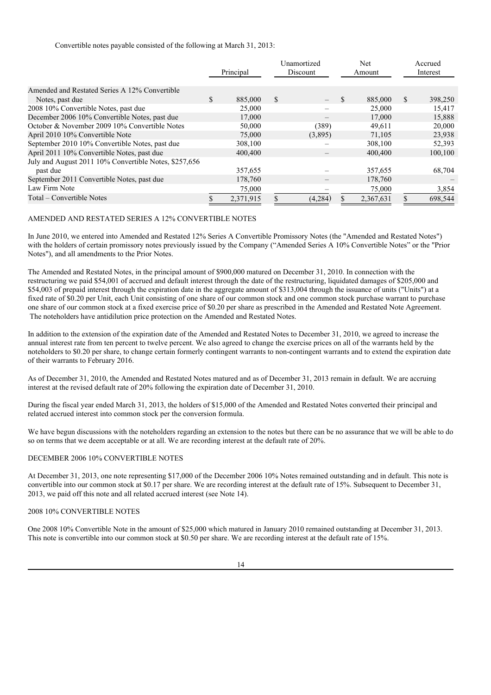Convertible notes payable consisted of the following at March 31, 2013:

|                                                       | Principal     |   | Unamortized<br>Discount |               | <b>Net</b><br>Amount |   | Accrued<br>Interest |
|-------------------------------------------------------|---------------|---|-------------------------|---------------|----------------------|---|---------------------|
| Amended and Restated Series A 12% Convertible         |               |   |                         |               |                      |   |                     |
| Notes, past due                                       | \$<br>885,000 | S |                         | <sup>\$</sup> | 885,000              | S | 398,250             |
| 2008 10% Convertible Notes, past due                  | 25,000        |   |                         |               | 25,000               |   | 15,417              |
| December 2006 10% Convertible Notes, past due         | 17,000        |   |                         |               | 17,000               |   | 15,888              |
| October & November 2009 10% Convertible Notes         | 50,000        |   | (389)                   |               | 49,611               |   | 20,000              |
| April 2010 10% Convertible Note                       | 75,000        |   | (3,895)                 |               | 71,105               |   | 23,938              |
| September 2010 10% Convertible Notes, past due        | 308,100       |   |                         |               | 308,100              |   | 52,393              |
| April 2011 10% Convertible Notes, past due            | 400,400       |   |                         |               | 400,400              |   | 100,100             |
| July and August 2011 10% Convertible Notes, \$257,656 |               |   |                         |               |                      |   |                     |
| past due                                              | 357,655       |   |                         |               | 357,655              |   | 68,704              |
| September 2011 Convertible Notes, past due            | 178,760       |   |                         |               | 178,760              |   |                     |
| Law Firm Note                                         | 75,000        |   |                         |               | 75,000               |   | 3,854               |
| Total – Convertible Notes                             | 2,371,915     |   | (4,284)                 |               | 2,367,631            |   | 698,544             |

## AMENDED AND RESTATED SERIES A 12% CONVERTIBLE NOTES

In June 2010, we entered into Amended and Restated 12% Series A Convertible Promissory Notes (the "Amended and Restated Notes") with the holders of certain promissory notes previously issued by the Company ("Amended Series A 10% Convertible Notes" or the "Prior Notes"), and all amendments to the Prior Notes.

The Amended and Restated Notes, in the principal amount of \$900,000 matured on December 31, 2010. In connection with the restructuring we paid \$54,001 of accrued and default interest through the date of the restructuring, liquidated damages of \$205,000 and \$54,003 of prepaid interest through the expiration date in the aggregate amount of \$313,004 through the issuance of units ("Units") at a fixed rate of \$0.20 per Unit, each Unit consisting of one share of our common stock and one common stock purchase warrant to purchase one share of our common stock at a fixed exercise price of \$0.20 per share as prescribed in the Amended and Restated Note Agreement. The noteholders have antidilution price protection on the Amended and Restated Notes.

In addition to the extension of the expiration date of the Amended and Restated Notes to December 31, 2010, we agreed to increase the annual interest rate from ten percent to twelve percent. We also agreed to change the exercise prices on all of the warrants held by the noteholders to \$0.20 per share, to change certain formerly contingent warrants to non-contingent warrants and to extend the expiration date of their warrants to February 2016.

As of December 31, 2010, the Amended and Restated Notes matured and as of December 31, 2013 remain in default. We are accruing interest at the revised default rate of 20% following the expiration date of December 31, 2010.

During the fiscal year ended March 31, 2013, the holders of \$15,000 of the Amended and Restated Notes converted their principal and related accrued interest into common stock per the conversion formula.

We have begun discussions with the noteholders regarding an extension to the notes but there can be no assurance that we will be able to do so on terms that we deem acceptable or at all. We are recording interest at the default rate of 20%.

#### DECEMBER 2006 10% CONVERTIBLE NOTES

At December 31, 2013, one note representing \$17,000 of the December 2006 10% Notes remained outstanding and in default. This note is convertible into our common stock at \$0.17 per share. We are recording interest at the default rate of 15%. Subsequent to December 31, 2013, we paid off this note and all related accrued interest (see Note 14).

#### 2008 10% CONVERTIBLE NOTES

One 2008 10% Convertible Note in the amount of \$25,000 which matured in January 2010 remained outstanding at December 31, 2013. This note is convertible into our common stock at \$0.50 per share. We are recording interest at the default rate of 15%.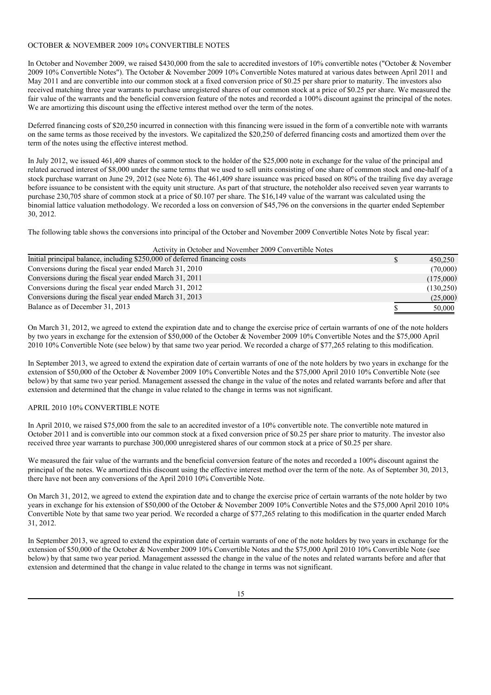## OCTOBER & NOVEMBER 2009 10% CONVERTIBLE NOTES

In October and November 2009, we raised \$430,000 from the sale to accredited investors of 10% convertible notes ("October & November 2009 10% Convertible Notes"). The October & November 2009 10% Convertible Notes matured at various dates between April 2011 and May 2011 and are convertible into our common stock at a fixed conversion price of \$0.25 per share prior to maturity. The investors also received matching three year warrants to purchase unregistered shares of our common stock at a price of \$0.25 per share. We measured the fair value of the warrants and the beneficial conversion feature of the notes and recorded a 100% discount against the principal of the notes. We are amortizing this discount using the effective interest method over the term of the notes.

Deferred financing costs of \$20,250 incurred in connection with this financing were issued in the form of a convertible note with warrants on the same terms as those received by the investors. We capitalized the \$20,250 of deferred financing costs and amortized them over the term of the notes using the effective interest method.

In July 2012, we issued 461,409 shares of common stock to the holder of the \$25,000 note in exchange for the value of the principal and related accrued interest of \$8,000 under the same terms that we used to sell units consisting of one share of common stock and one-half of a stock purchase warrant on June 29, 2012 (see Note 6). The 461,409 share issuance was priced based on 80% of the trailing five day average before issuance to be consistent with the equity unit structure. As part of that structure, the noteholder also received seven year warrants to purchase 230,705 share of common stock at a price of \$0.107 per share. The \$16,149 value of the warrant was calculated using the binomial lattice valuation methodology. We recorded a loss on conversion of \$45,796 on the conversions in the quarter ended September 30, 2012.

The following table shows the conversions into principal of the October and November 2009 Convertible Notes Note by fiscal year:

Activity in October and November 2009 Convertible Notes

| 450,250   |
|-----------|
| (70,000)  |
| (175,000) |
| (130,250) |
| (25,000)  |
| 50,000    |
|           |

On March 31, 2012, we agreed to extend the expiration date and to change the exercise price of certain warrants of one of the note holders by two years in exchange for the extension of \$50,000 of the October & November 2009 10% Convertible Notes and the \$75,000 April 2010 10% Convertible Note (see below) by that same two year period. We recorded a charge of \$77,265 relating to this modification.

In September 2013, we agreed to extend the expiration date of certain warrants of one of the note holders by two years in exchange for the extension of \$50,000 of the October & November 2009 10% Convertible Notes and the \$75,000 April 2010 10% Convertible Note (see below) by that same two year period. Management assessed the change in the value of the notes and related warrants before and after that extension and determined that the change in value related to the change in terms was not significant.

## APRIL 2010 10% CONVERTIBLE NOTE

In April 2010, we raised \$75,000 from the sale to an accredited investor of a 10% convertible note. The convertible note matured in October 2011 and is convertible into our common stock at a fixed conversion price of \$0.25 per share prior to maturity. The investor also received three year warrants to purchase 300,000 unregistered shares of our common stock at a price of \$0.25 per share.

We measured the fair value of the warrants and the beneficial conversion feature of the notes and recorded a 100% discount against the principal of the notes. We amortized this discount using the effective interest method over the term of the note. As of September 30, 2013, there have not been any conversions of the April 2010 10% Convertible Note.

On March 31, 2012, we agreed to extend the expiration date and to change the exercise price of certain warrants of the note holder by two years in exchange for his extension of \$50,000 of the October & November 2009 10% Convertible Notes and the \$75,000 April 2010 10% Convertible Note by that same two year period. We recorded a charge of \$77,265 relating to this modification in the quarter ended March 31, 2012.

In September 2013, we agreed to extend the expiration date of certain warrants of one of the note holders by two years in exchange for the extension of \$50,000 of the October & November 2009 10% Convertible Notes and the \$75,000 April 2010 10% Convertible Note (see below) by that same two year period. Management assessed the change in the value of the notes and related warrants before and after that extension and determined that the change in value related to the change in terms was not significant.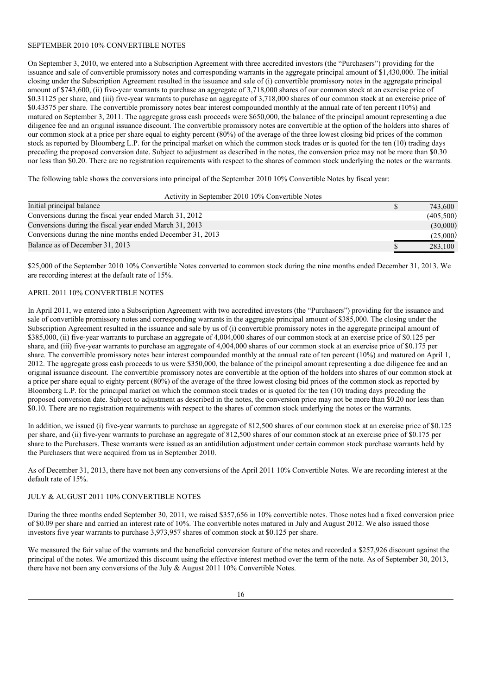## SEPTEMBER 2010 10% CONVERTIBLE NOTES

On September 3, 2010, we entered into a Subscription Agreement with three accredited investors (the "Purchasers") providing for the issuance and sale of convertible promissory notes and corresponding warrants in the aggregate principal amount of \$1,430,000. The initial closing under the Subscription Agreement resulted in the issuance and sale of (i) convertible promissory notes in the aggregate principal amount of \$743,600, (ii) five-year warrants to purchase an aggregate of 3,718,000 shares of our common stock at an exercise price of \$0.31125 per share, and (iii) five-year warrants to purchase an aggregate of 3,718,000 shares of our common stock at an exercise price of \$0.43575 per share. The convertible promissory notes bear interest compounded monthly at the annual rate of ten percent (10%) and matured on September 3, 2011. The aggregate gross cash proceeds were \$650,000, the balance of the principal amount representing a due diligence fee and an original issuance discount. The convertible promissory notes are convertible at the option of the holders into shares of our common stock at a price per share equal to eighty percent (80%) of the average of the three lowest closing bid prices of the common stock as reported by Bloomberg L.P. for the principal market on which the common stock trades or is quoted for the ten (10) trading days preceding the proposed conversion date. Subject to adjustment as described in the notes, the conversion price may not be more than \$0.30 nor less than \$0.20. There are no registration requirements with respect to the shares of common stock underlying the notes or the warrants.

The following table shows the conversions into principal of the September 2010 10% Convertible Notes by fiscal year:

|  |  |  | Activity in September 2010 10% Convertible Notes |  |
|--|--|--|--------------------------------------------------|--|
|--|--|--|--------------------------------------------------|--|

| Initial principal balance                                  | 743,600   |
|------------------------------------------------------------|-----------|
| Conversions during the fiscal year ended March 31, 2012    | (405,500) |
| Conversions during the fiscal year ended March 31, 2013    | (30,000)  |
| Conversions during the nine months ended December 31, 2013 | (25,000)  |
| Balance as of December 31, 2013                            | 283,100   |

\$25,000 of the September 2010 10% Convertible Notes converted to common stock during the nine months ended December 31, 2013. We are recording interest at the default rate of 15%.

## APRIL 2011 10% CONVERTIBLE NOTES

In April 2011, we entered into a Subscription Agreement with two accredited investors (the "Purchasers") providing for the issuance and sale of convertible promissory notes and corresponding warrants in the aggregate principal amount of \$385,000. The closing under the Subscription Agreement resulted in the issuance and sale by us of (i) convertible promissory notes in the aggregate principal amount of \$385,000, (ii) five-year warrants to purchase an aggregate of 4,004,000 shares of our common stock at an exercise price of \$0.125 per share, and (iii) five-year warrants to purchase an aggregate of 4,004,000 shares of our common stock at an exercise price of \$0.175 per share. The convertible promissory notes bear interest compounded monthly at the annual rate of ten percent (10%) and matured on April 1, 2012. The aggregate gross cash proceeds to us were \$350,000, the balance of the principal amount representing a due diligence fee and an original issuance discount. The convertible promissory notes are convertible at the option of the holders into shares of our common stock at a price per share equal to eighty percent (80%) of the average of the three lowest closing bid prices of the common stock as reported by Bloomberg L.P. for the principal market on which the common stock trades or is quoted for the ten (10) trading days preceding the proposed conversion date. Subject to adjustment as described in the notes, the conversion price may not be more than \$0.20 nor less than \$0.10. There are no registration requirements with respect to the shares of common stock underlying the notes or the warrants.

In addition, we issued (i) five-year warrants to purchase an aggregate of 812,500 shares of our common stock at an exercise price of \$0.125 per share, and (ii) five-year warrants to purchase an aggregate of 812,500 shares of our common stock at an exercise price of \$0.175 per share to the Purchasers. These warrants were issued as an antidilution adjustment under certain common stock purchase warrants held by the Purchasers that were acquired from us in September 2010.

As of December 31, 2013, there have not been any conversions of the April 2011 10% Convertible Notes. We are recording interest at the default rate of 15%.

## JULY & AUGUST 2011 10% CONVERTIBLE NOTES

During the three months ended September 30, 2011, we raised \$357,656 in 10% convertible notes. Those notes had a fixed conversion price of \$0.09 per share and carried an interest rate of 10%. The convertible notes matured in July and August 2012. We also issued those investors five year warrants to purchase 3,973,957 shares of common stock at \$0.125 per share.

We measured the fair value of the warrants and the beneficial conversion feature of the notes and recorded a \$257,926 discount against the principal of the notes. We amortized this discount using the effective interest method over the term of the note. As of September 30, 2013, there have not been any conversions of the July & August 2011 10% Convertible Notes.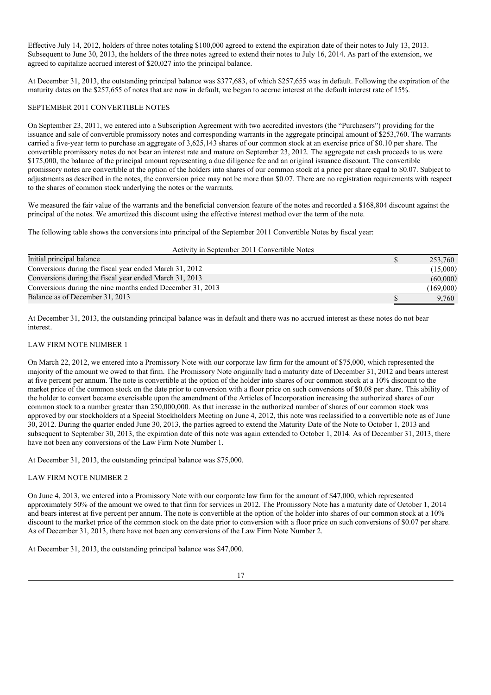Effective July 14, 2012, holders of three notes totaling \$100,000 agreed to extend the expiration date of their notes to July 13, 2013. Subsequent to June 30, 2013, the holders of the three notes agreed to extend their notes to July 16, 2014. As part of the extension, we agreed to capitalize accrued interest of \$20,027 into the principal balance.

At December 31, 2013, the outstanding principal balance was \$377,683, of which \$257,655 was in default. Following the expiration of the maturity dates on the \$257,655 of notes that are now in default, we began to accrue interest at the default interest rate of 15%.

## SEPTEMBER 2011 CONVERTIBLE NOTES

On September 23, 2011, we entered into a Subscription Agreement with two accredited investors (the "Purchasers") providing for the issuance and sale of convertible promissory notes and corresponding warrants in the aggregate principal amount of \$253,760. The warrants carried a five-year term to purchase an aggregate of 3,625,143 shares of our common stock at an exercise price of \$0.10 per share. The convertible promissory notes do not bear an interest rate and mature on September 23, 2012. The aggregate net cash proceeds to us were \$175,000, the balance of the principal amount representing a due diligence fee and an original issuance discount. The convertible promissory notes are convertible at the option of the holders into shares of our common stock at a price per share equal to \$0.07. Subject to adjustments as described in the notes, the conversion price may not be more than \$0.07. There are no registration requirements with respect to the shares of common stock underlying the notes or the warrants.

We measured the fair value of the warrants and the beneficial conversion feature of the notes and recorded a \$168,804 discount against the principal of the notes. We amortized this discount using the effective interest method over the term of the note.

The following table shows the conversions into principal of the September 2011 Convertible Notes by fiscal year:

| Activity in September 2011 Convertible Notes               |  |           |  |  |  |
|------------------------------------------------------------|--|-----------|--|--|--|
| Initial principal balance                                  |  | 253,760   |  |  |  |
| Conversions during the fiscal year ended March 31, 2012    |  | (15,000)  |  |  |  |
| Conversions during the fiscal year ended March 31, 2013    |  | (60,000)  |  |  |  |
| Conversions during the nine months ended December 31, 2013 |  | (169,000) |  |  |  |
| Balance as of December 31, 2013                            |  | 9.760     |  |  |  |

At December 31, 2013, the outstanding principal balance was in default and there was no accrued interest as these notes do not bear interest.

## LAW FIRM NOTE NUMBER 1

On March 22, 2012, we entered into a Promissory Note with our corporate law firm for the amount of \$75,000, which represented the majority of the amount we owed to that firm. The Promissory Note originally had a maturity date of December 31, 2012 and bears interest at five percent per annum. The note is convertible at the option of the holder into shares of our common stock at a 10% discount to the market price of the common stock on the date prior to conversion with a floor price on such conversions of \$0.08 per share. This ability of the holder to convert became exercisable upon the amendment of the Articles of Incorporation increasing the authorized shares of our common stock to a number greater than 250,000,000. As that increase in the authorized number of shares of our common stock was approved by our stockholders at a Special Stockholders Meeting on June 4, 2012, this note was reclassified to a convertible note as of June 30, 2012. During the quarter ended June 30, 2013, the parties agreed to extend the Maturity Date of the Note to October 1, 2013 and subsequent to September 30, 2013, the expiration date of this note was again extended to October 1, 2014. As of December 31, 2013, there have not been any conversions of the Law Firm Note Number 1.

At December 31, 2013, the outstanding principal balance was \$75,000.

## LAW FIRM NOTE NUMBER 2

On June 4, 2013, we entered into a Promissory Note with our corporate law firm for the amount of \$47,000, which represented approximately 50% of the amount we owed to that firm for services in 2012. The Promissory Note has a maturity date of October 1, 2014 and bears interest at five percent per annum. The note is convertible at the option of the holder into shares of our common stock at a 10% discount to the market price of the common stock on the date prior to conversion with a floor price on such conversions of \$0.07 per share. As of December 31, 2013, there have not been any conversions of the Law Firm Note Number 2.

At December 31, 2013, the outstanding principal balance was \$47,000.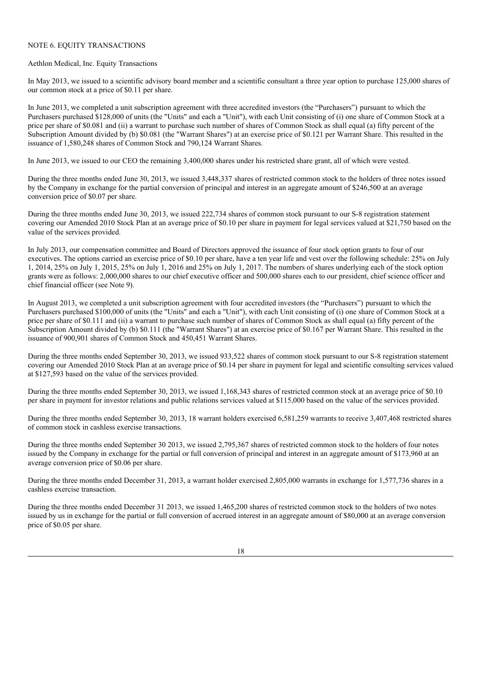#### NOTE 6. EQUITY TRANSACTIONS

#### Aethlon Medical, Inc. Equity Transactions

In May 2013, we issued to a scientific advisory board member and a scientific consultant a three year option to purchase 125,000 shares of our common stock at a price of \$0.11 per share.

In June 2013, we completed a unit subscription agreement with three accredited investors (the "Purchasers") pursuant to which the Purchasers purchased \$128,000 of units (the "Units" and each a "Unit"), with each Unit consisting of (i) one share of Common Stock at a price per share of \$0.081 and (ii) a warrant to purchase such number of shares of Common Stock as shall equal (a) fifty percent of the Subscription Amount divided by (b) \$0.081 (the "Warrant Shares") at an exercise price of \$0.121 per Warrant Share. This resulted in the issuance of 1,580,248 shares of Common Stock and 790,124 Warrant Shares.

In June 2013, we issued to our CEO the remaining 3,400,000 shares under his restricted share grant, all of which were vested.

During the three months ended June 30, 2013, we issued 3,448,337 shares of restricted common stock to the holders of three notes issued by the Company in exchange for the partial conversion of principal and interest in an aggregate amount of \$246,500 at an average conversion price of \$0.07 per share.

During the three months ended June 30, 2013, we issued 222,734 shares of common stock pursuant to our S-8 registration statement covering our Amended 2010 Stock Plan at an average price of \$0.10 per share in payment for legal services valued at \$21,750 based on the value of the services provided.

In July 2013, our compensation committee and Board of Directors approved the issuance of four stock option grants to four of our executives. The options carried an exercise price of \$0.10 per share, have a ten year life and vest over the following schedule: 25% on July 1, 2014, 25% on July 1, 2015, 25% on July 1, 2016 and 25% on July 1, 2017. The numbers of shares underlying each of the stock option grants were as follows: 2,000,000 shares to our chief executive officer and 500,000 shares each to our president, chief science officer and chief financial officer (see Note 9).

In August 2013, we completed a unit subscription agreement with four accredited investors (the "Purchasers") pursuant to which the Purchasers purchased \$100,000 of units (the "Units" and each a "Unit"), with each Unit consisting of (i) one share of Common Stock at a price per share of \$0.111 and (ii) a warrant to purchase such number of shares of Common Stock as shall equal (a) fifty percent of the Subscription Amount divided by (b) \$0.111 (the "Warrant Shares") at an exercise price of \$0.167 per Warrant Share. This resulted in the issuance of 900,901 shares of Common Stock and 450,451 Warrant Shares.

During the three months ended September 30, 2013, we issued 933,522 shares of common stock pursuant to our S-8 registration statement covering our Amended 2010 Stock Plan at an average price of \$0.14 per share in payment for legal and scientific consulting services valued at \$127,593 based on the value of the services provided.

During the three months ended September 30, 2013, we issued 1,168,343 shares of restricted common stock at an average price of \$0.10 per share in payment for investor relations and public relations services valued at \$115,000 based on the value of the services provided.

During the three months ended September 30, 2013, 18 warrant holders exercised 6,581,259 warrants to receive 3,407,468 restricted shares of common stock in cashless exercise transactions.

During the three months ended September 30 2013, we issued 2,795,367 shares of restricted common stock to the holders of four notes issued by the Company in exchange for the partial or full conversion of principal and interest in an aggregate amount of \$173,960 at an average conversion price of \$0.06 per share.

During the three months ended December 31, 2013, a warrant holder exercised 2,805,000 warrants in exchange for 1,577,736 shares in a cashless exercise transaction.

During the three months ended December 31 2013, we issued 1,465,200 shares of restricted common stock to the holders of two notes issued by us in exchange for the partial or full conversion of accrued interest in an aggregate amount of \$80,000 at an average conversion price of \$0.05 per share.

18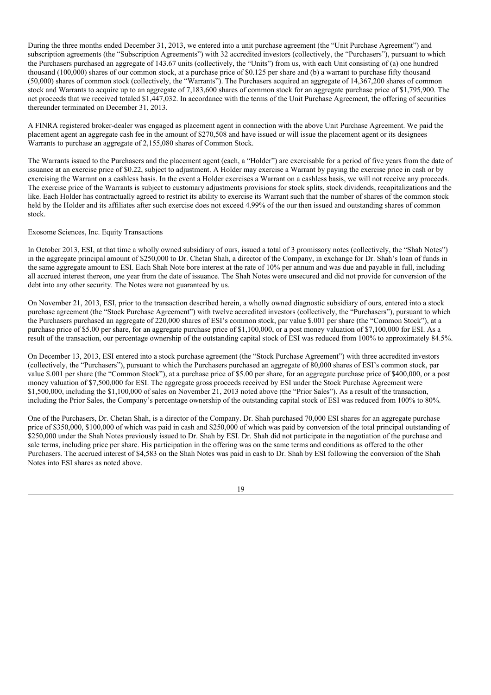During the three months ended December 31, 2013, we entered into a unit purchase agreement (the "Unit Purchase Agreement") and subscription agreements (the "Subscription Agreements") with 32 accredited investors (collectively, the "Purchasers"), pursuant to which the Purchasers purchased an aggregate of 143.67 units (collectively, the "Units") from us, with each Unit consisting of (a) one hundred thousand (100,000) shares of our common stock, at a purchase price of \$0.125 per share and (b) a warrant to purchase fifty thousand (50,000) shares of common stock (collectively, the "Warrants"). The Purchasers acquired an aggregate of 14,367,200 shares of common stock and Warrants to acquire up to an aggregate of 7,183,600 shares of common stock for an aggregate purchase price of \$1,795,900. The net proceeds that we received totaled \$1,447,032. In accordance with the terms of the Unit Purchase Agreement, the offering of securities thereunder terminated on December 31, 2013.

A FINRA registered broker-dealer was engaged as placement agent in connection with the above Unit Purchase Agreement. We paid the placement agent an aggregate cash fee in the amount of \$270,508 and have issued or will issue the placement agent or its designees Warrants to purchase an aggregate of 2,155,080 shares of Common Stock.

The Warrants issued to the Purchasers and the placement agent (each, a "Holder") are exercisable for a period of five years from the date of issuance at an exercise price of \$0.22, subject to adjustment. A Holder may exercise a Warrant by paying the exercise price in cash or by exercising the Warrant on a cashless basis. In the event a Holder exercises a Warrant on a cashless basis, we will not receive any proceeds. The exercise price of the Warrants is subject to customary adjustments provisions for stock splits, stock dividends, recapitalizations and the like. Each Holder has contractually agreed to restrict its ability to exercise its Warrant such that the number of shares of the common stock held by the Holder and its affiliates after such exercise does not exceed 4.99% of the our then issued and outstanding shares of common stock.

Exosome Sciences, Inc. Equity Transactions

In October 2013, ESI, at that time a wholly owned subsidiary of ours, issued a total of 3 promissory notes (collectively, the "Shah Notes") in the aggregate principal amount of \$250,000 to Dr. Chetan Shah, a director of the Company, in exchange for Dr. Shah's loan of funds in the same aggregate amount to ESI. Each Shah Note bore interest at the rate of 10% per annum and was due and payable in full, including all accrued interest thereon, one year from the date of issuance. The Shah Notes were unsecured and did not provide for conversion of the debt into any other security. The Notes were not guaranteed by us.

On November 21, 2013, ESI, prior to the transaction described herein, a wholly owned diagnostic subsidiary of ours, entered into a stock purchase agreement (the "Stock Purchase Agreement") with twelve accredited investors (collectively, the "Purchasers"), pursuant to which the Purchasers purchased an aggregate of 220,000 shares of ESI's common stock, par value \$.001 per share (the "Common Stock"), at a purchase price of \$5.00 per share, for an aggregate purchase price of \$1,100,000, or a post money valuation of \$7,100,000 for ESI. As a result of the transaction, our percentage ownership of the outstanding capital stock of ESI was reduced from 100% to approximately 84.5%.

On December 13, 2013, ESI entered into a stock purchase agreement (the "Stock Purchase Agreement") with three accredited investors (collectively, the "Purchasers"), pursuant to which the Purchasers purchased an aggregate of 80,000 shares of ESI's common stock, par value \$.001 per share (the "Common Stock"), at a purchase price of \$5.00 per share, for an aggregate purchase price of \$400,000, or a post money valuation of \$7,500,000 for ESI. The aggregate gross proceeds received by ESI under the Stock Purchase Agreement were \$1,500,000, including the \$1,100,000 of sales on November 21, 2013 noted above (the "Prior Sales"). As a result of the transaction, including the Prior Sales, the Company's percentage ownership of the outstanding capital stock of ESI was reduced from 100% to 80%.

One of the Purchasers, Dr. Chetan Shah, is a director of the Company. Dr. Shah purchased 70,000 ESI shares for an aggregate purchase price of \$350,000, \$100,000 of which was paid in cash and \$250,000 of which was paid by conversion of the total principal outstanding of \$250,000 under the Shah Notes previously issued to Dr. Shah by ESI. Dr. Shah did not participate in the negotiation of the purchase and sale terms, including price per share. His participation in the offering was on the same terms and conditions as offered to the other Purchasers. The accrued interest of \$4,583 on the Shah Notes was paid in cash to Dr. Shah by ESI following the conversion of the Shah Notes into ESI shares as noted above.

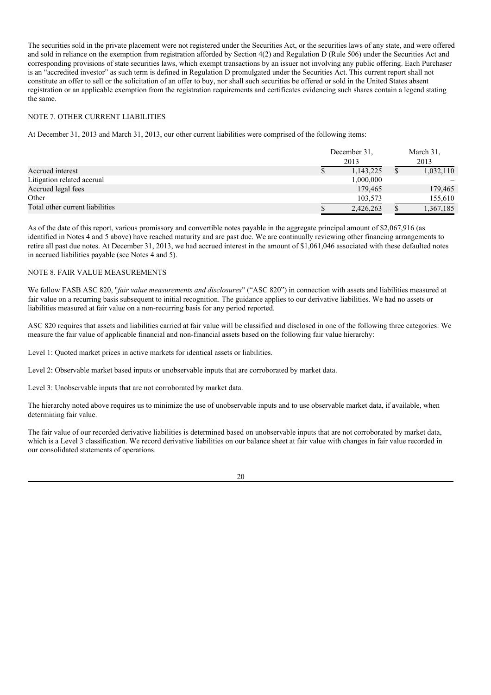The securities sold in the private placement were not registered under the Securities Act, or the securities laws of any state, and were offered and sold in reliance on the exemption from registration afforded by Section 4(2) and Regulation D (Rule 506) under the Securities Act and corresponding provisions of state securities laws, which exempt transactions by an issuer not involving any public offering. Each Purchaser is an "accredited investor" as such term is defined in Regulation D promulgated under the Securities Act. This current report shall not constitute an offer to sell or the solicitation of an offer to buy, nor shall such securities be offered or sold in the United States absent registration or an applicable exemption from the registration requirements and certificates evidencing such shares contain a legend stating the same.

## NOTE 7. OTHER CURRENT LIABILITIES

At December 31, 2013 and March 31, 2013, our other current liabilities were comprised of the following items:

|                                 | December 31. |           |   | March 31, |
|---------------------------------|--------------|-----------|---|-----------|
|                                 |              | 2013      |   | 2013      |
| Accrued interest                | D            | 1,143,225 | S | 1,032,110 |
| Litigation related accrual      |              | 1,000,000 |   |           |
| Accrued legal fees              |              | 179.465   |   | 179,465   |
| Other                           |              | 103,573   |   | 155,610   |
| Total other current liabilities |              | 2,426,263 | S | 1,367,185 |

As of the date of this report, various promissory and convertible notes payable in the aggregate principal amount of \$2,067,916 (as identified in Notes 4 and 5 above) have reached maturity and are past due. We are continually reviewing other financing arrangements to retire all past due notes. At December 31, 2013, we had accrued interest in the amount of \$1,061,046 associated with these defaulted notes in accrued liabilities payable (see Notes 4 and 5).

## NOTE 8. FAIR VALUE MEASUREMENTS

We follow FASB ASC 820, "*fair value measurements and disclosures*" ("ASC 820") in connection with assets and liabilities measured at fair value on a recurring basis subsequent to initial recognition. The guidance applies to our derivative liabilities. We had no assets or liabilities measured at fair value on a non-recurring basis for any period reported.

ASC 820 requires that assets and liabilities carried at fair value will be classified and disclosed in one of the following three categories: We measure the fair value of applicable financial and non-financial assets based on the following fair value hierarchy:

Level 1: Quoted market prices in active markets for identical assets or liabilities.

Level 2: Observable market based inputs or unobservable inputs that are corroborated by market data.

Level 3: Unobservable inputs that are not corroborated by market data.

The hierarchy noted above requires us to minimize the use of unobservable inputs and to use observable market data, if available, when determining fair value.

The fair value of our recorded derivative liabilities is determined based on unobservable inputs that are not corroborated by market data, which is a Level 3 classification. We record derivative liabilities on our balance sheet at fair value with changes in fair value recorded in our consolidated statements of operations.

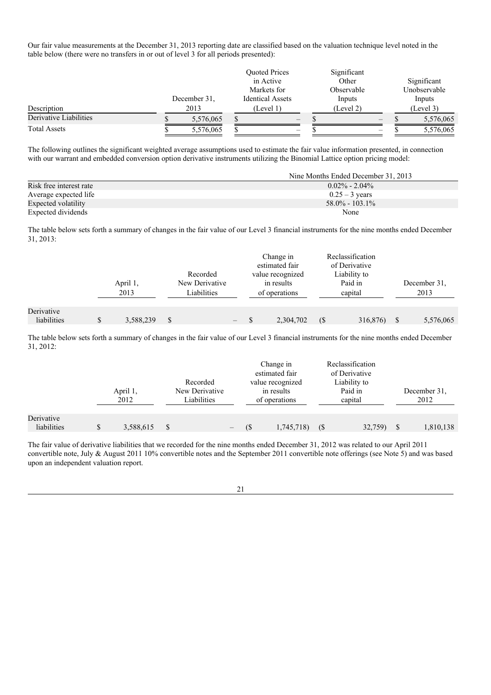Our fair value measurements at the December 31, 2013 reporting date are classified based on the valuation technique level noted in the table below (there were no transfers in or out of level 3 for all periods presented):

|                        |              | <b>Ouoted Prices</b>    | Significant |              |
|------------------------|--------------|-------------------------|-------------|--------------|
|                        |              | in Active               | Other       | Significant  |
|                        |              | Markets for             | Observable  | Unobservable |
|                        | December 31. | <b>Identical Assets</b> | Inputs      | Inputs       |
| Description            | 2013         | (Level 1)               | (Level 2)   | (Level 3)    |
| Derivative Liabilities | 5,576,065    |                         |             | 5,576,065    |
| <b>Total Assets</b>    | 5,576,065    |                         |             | 5,576,065    |

The following outlines the significant weighted average assumptions used to estimate the fair value information presented, in connection with our warrant and embedded conversion option derivative instruments utilizing the Binomial Lattice option pricing model:

|                         | Nine Months Ended December 31, 2013 |
|-------------------------|-------------------------------------|
| Risk free interest rate | $0.02\%$ - 2.04%                    |
| Average expected life   | $0.25 - 3$ years                    |
| Expected volatility     | $58.0\% - 103.1\%$                  |
| Expected dividends      | None                                |

The table below sets forth a summary of changes in the fair value of our Level 3 financial instruments for the nine months ended December 31, 2013:

|                           |   | April 1,<br>2013 | Recorded<br>New Derivative<br>Liabilities |                   | Change in<br>estimated fair<br>value recognized<br>in results<br>of operations |           | Reclassification<br>of Derivative<br>Liability to<br>Paid in<br>capital | December 31,<br>2013 |
|---------------------------|---|------------------|-------------------------------------------|-------------------|--------------------------------------------------------------------------------|-----------|-------------------------------------------------------------------------|----------------------|
| Derivative<br>liabilities | P | 3,588,239        |                                           | $\qquad \qquad -$ | 2,304,702                                                                      | <b>(S</b> | 316,876)                                                                | 5,576,065            |

The table below sets forth a summary of changes in the fair value of our Level 3 financial instruments for the nine months ended December 31, 2012:

|                           |    | April 1,<br>2012 | Recorded<br>New Derivative<br>Liabilities |                   | Change in<br>estimated fair<br>value recognized<br>in results<br>of operations | Reclassification<br>of Derivative<br>Liability to<br>Paid in<br>capital | December 31,<br>2012 |
|---------------------------|----|------------------|-------------------------------------------|-------------------|--------------------------------------------------------------------------------|-------------------------------------------------------------------------|----------------------|
| Derivative<br>liabilities | ۰υ | 3,588,615        |                                           | $\qquad \qquad -$ | 1,745,718)                                                                     | 32,759)                                                                 | 1,810,138            |

The fair value of derivative liabilities that we recorded for the nine months ended December 31, 2012 was related to our April 2011 convertible note, July & August 2011 10% convertible notes and the September 2011 convertible note offerings (see Note 5) and was based upon an independent valuation report.

21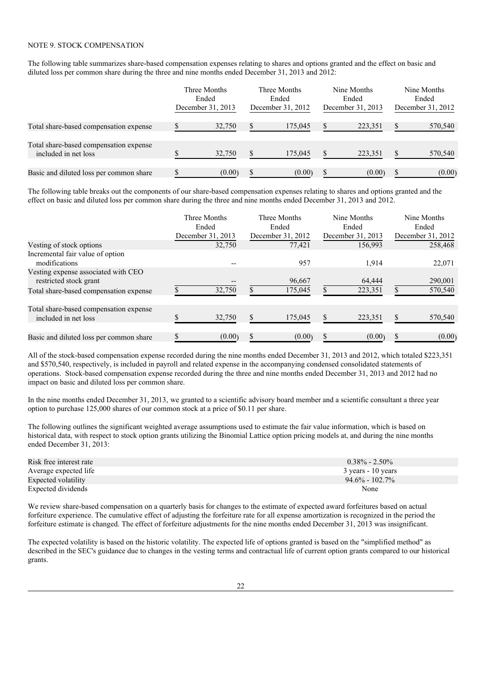#### NOTE 9. STOCK COMPENSATION

The following table summarizes share-based compensation expenses relating to shares and options granted and the effect on basic and diluted loss per common share during the three and nine months ended December 31, 2013 and 2012:

|                                                                | Three Months<br>Ended<br>December 31, 2013 |   | Three Months<br>Ended<br>December 31, 2012 |     | Nine Months<br>Ended<br>December 31, 2013 |    | Nine Months<br>Ended<br>December 31, 2012 |
|----------------------------------------------------------------|--------------------------------------------|---|--------------------------------------------|-----|-------------------------------------------|----|-------------------------------------------|
| Total share-based compensation expense                         | 32,750                                     |   | 175,045                                    |     | 223,351                                   |    | 570,540                                   |
| Total share-based compensation expense<br>included in net loss | 32,750                                     |   | 175,045                                    |     | 223,351                                   |    | 570,540                                   |
| Basic and diluted loss per common share                        | (0.00)                                     | S | (0.00)                                     | \$. | (0.00)                                    | S. | (0.00)                                    |

The following table breaks out the components of our share-based compensation expenses relating to shares and options granted and the effect on basic and diluted loss per common share during the three and nine months ended December 31, 2013 and 2012.

|                                                                | Three Months<br>Ended<br>December 31, 2013 | Three Months<br>Ended<br>December 31, 2012 | Nine Months<br>Ended<br>December 31, 2013 | Nine Months<br>Ended<br>December 31, 2012 |
|----------------------------------------------------------------|--------------------------------------------|--------------------------------------------|-------------------------------------------|-------------------------------------------|
| Vesting of stock options                                       | 32,750                                     | 77,421                                     | 156,993                                   | 258,468                                   |
| Incremental fair value of option<br>modifications              |                                            | 957                                        | 1,914                                     | 22,071                                    |
| Vesting expense associated with CEO<br>restricted stock grant  |                                            | 96,667                                     | 64,444                                    | 290,001                                   |
| Total share-based compensation expense                         | 32,750                                     | 175,045                                    | 223,351                                   | 570,540                                   |
| Total share-based compensation expense<br>included in net loss | 32,750                                     | 175,045                                    | \$<br>223,351                             | \$.<br>570,540                            |
| Basic and diluted loss per common share                        | (0.00)                                     | (0.00)                                     | (0.00)                                    | S<br>(0.00)                               |

All of the stock-based compensation expense recorded during the nine months ended December 31, 2013 and 2012, which totaled \$223,351 and \$570,540, respectively, is included in payroll and related expense in the accompanying condensed consolidated statements of operations. Stock-based compensation expense recorded during the three and nine months ended December 31, 2013 and 2012 had no impact on basic and diluted loss per common share.

In the nine months ended December 31, 2013, we granted to a scientific advisory board member and a scientific consultant a three year option to purchase 125,000 shares of our common stock at a price of \$0.11 per share.

The following outlines the significant weighted average assumptions used to estimate the fair value information, which is based on historical data, with respect to stock option grants utilizing the Binomial Lattice option pricing models at, and during the nine months ended December 31, 2013:

| Risk free interest rate | $0.38\% - 2.50\%$  |
|-------------------------|--------------------|
| Average expected life   | 3 years - 10 years |
| Expected volatility     | $94.6\% - 102.7\%$ |
| Expected dividends      | None               |

We review share-based compensation on a quarterly basis for changes to the estimate of expected award forfeitures based on actual forfeiture experience. The cumulative effect of adjusting the forfeiture rate for all expense amortization is recognized in the period the forfeiture estimate is changed. The effect of forfeiture adjustments for the nine months ended December 31, 2013 was insignificant.

The expected volatility is based on the historic volatility. The expected life of options granted is based on the "simplified method" as described in the SEC's guidance due to changes in the vesting terms and contractual life of current option grants compared to our historical grants.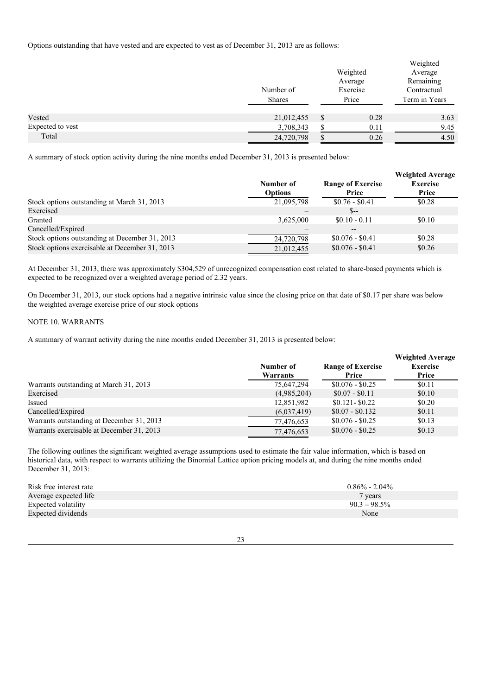#### Options outstanding that have vested and are expected to vest as of December 31, 2013 are as follows:

|                  | Number of<br><b>Shares</b> |               | Weighted<br>Average<br>Exercise<br>Price | Weighted<br>Average<br>Remaining<br>Contractual<br>Term in Years |
|------------------|----------------------------|---------------|------------------------------------------|------------------------------------------------------------------|
| Vested           | 21,012,455                 | <sup>\$</sup> | 0.28                                     | 3.63                                                             |
| Expected to vest | 3,708,343                  |               | 0.11                                     | 9.45                                                             |
| Total            | 24,720,798                 | S.            | 0.26                                     | 4.50                                                             |

A summary of stock option activity during the nine months ended December 31, 2013 is presented below:

|                                                | Number of      | <b>Range of Exercise</b> | <b>Weighted Average</b><br><b>Exercise</b> |
|------------------------------------------------|----------------|--------------------------|--------------------------------------------|
|                                                | <b>Options</b> | Price                    | Price                                      |
| Stock options outstanding at March 31, 2013    | 21,095,798     | $$0.76 - $0.41$          | \$0.28                                     |
| Exercised                                      |                | $S-$                     |                                            |
| Granted                                        | 3,625,000      | $$0.10 - 0.11$           | \$0.10                                     |
| Cancelled/Expired                              |                |                          |                                            |
| Stock options outstanding at December 31, 2013 | 24,720,798     | $$0.076 - $0.41$         | \$0.28                                     |
| Stock options exercisable at December 31, 2013 | 21,012,455     | $$0.076 - $0.41$         | \$0.26                                     |

At December 31, 2013, there was approximately \$304,529 of unrecognized compensation cost related to share-based payments which is expected to be recognized over a weighted average period of 2.32 years.

On December 31, 2013, our stock options had a negative intrinsic value since the closing price on that date of \$0.17 per share was below the weighted average exercise price of our stock options

## NOTE 10. WARRANTS

A summary of warrant activity during the nine months ended December 31, 2013 is presented below:

|                                           | Number of<br>Warrants | <b>Range of Exercise</b><br>Price | <b>Weighted Average</b><br><b>Exercise</b><br>Price |
|-------------------------------------------|-----------------------|-----------------------------------|-----------------------------------------------------|
| Warrants outstanding at March 31, 2013    | 75,647,294            | $$0.076 - $0.25$                  | \$0.11                                              |
| Exercised                                 | (4,985,204)           | $$0.07 - $0.11$                   | \$0.10                                              |
| Issued                                    | 12,851,982            | $$0.121 - $0.22$$                 | \$0.20                                              |
| Cancelled/Expired                         | (6,037,419)           | $$0.07 - $0.132$                  | \$0.11                                              |
| Warrants outstanding at December 31, 2013 | 77,476,653            | $$0.076 - $0.25$                  | \$0.13                                              |
| Warrants exercisable at December 31, 2013 | 77,476,653            | $$0.076 - $0.25$                  | \$0.13                                              |

The following outlines the significant weighted average assumptions used to estimate the fair value information, which is based on historical data, with respect to warrants utilizing the Binomial Lattice option pricing models at, and during the nine months ended December 31, 2013:

| Risk free interest rate | $0.86\%$ - 2.04% |
|-------------------------|------------------|
| Average expected life   | 7 years          |
| Expected volatility     | $90.3 - 98.5\%$  |
| Expected dividends      | None             |

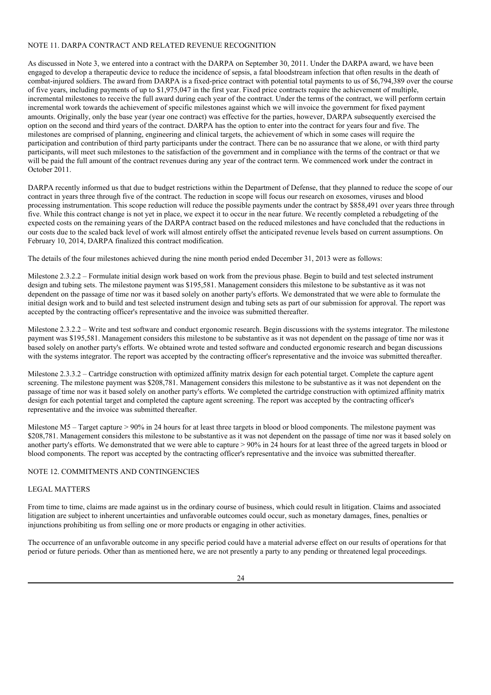## NOTE 11. DARPA CONTRACT AND RELATED REVENUE RECOGNITION

As discussed in Note 3, we entered into a contract with the DARPA on September 30, 2011. Under the DARPA award, we have been engaged to develop a therapeutic device to reduce the incidence of sepsis, a fatal bloodstream infection that often results in the death of combat-injured soldiers. The award from DARPA is a fixed-price contract with potential total payments to us of \$6,794,389 over the course of five years, including payments of up to \$1,975,047 in the first year. Fixed price contracts require the achievement of multiple, incremental milestones to receive the full award during each year of the contract. Under the terms of the contract, we will perform certain incremental work towards the achievement of specific milestones against which we will invoice the government for fixed payment amounts. Originally, only the base year (year one contract) was effective for the parties, however, DARPA subsequently exercised the option on the second and third years of the contract. DARPA has the option to enter into the contract for years four and five. The milestones are comprised of planning, engineering and clinical targets, the achievement of which in some cases will require the participation and contribution of third party participants under the contract. There can be no assurance that we alone, or with third party participants, will meet such milestones to the satisfaction of the government and in compliance with the terms of the contract or that we will be paid the full amount of the contract revenues during any year of the contract term. We commenced work under the contract in October 2011.

DARPA recently informed us that due to budget restrictions within the Department of Defense, that they planned to reduce the scope of our contract in years three through five of the contract. The reduction in scope will focus our research on exosomes, viruses and blood processing instrumentation. This scope reduction will reduce the possible payments under the contract by \$858,491 over years three through five. While this contract change is not yet in place, we expect it to occur in the near future. We recently completed a rebudgeting of the expected costs on the remaining years of the DARPA contract based on the reduced milestones and have concluded that the reductions in our costs due to the scaled back level of work will almost entirely offset the anticipated revenue levels based on current assumptions. On February 10, 2014, DARPA finalized this contract modification.

The details of the four milestones achieved during the nine month period ended December 31, 2013 were as follows:

Milestone 2.3.2.2 – Formulate initial design work based on work from the previous phase. Begin to build and test selected instrument design and tubing sets. The milestone payment was \$195,581. Management considers this milestone to be substantive as it was not dependent on the passage of time nor was it based solely on another party's efforts. We demonstrated that we were able to formulate the initial design work and to build and test selected instrument design and tubing sets as part of our submission for approval. The report was accepted by the contracting officer's representative and the invoice was submitted thereafter.

Milestone 2.3.2.2 – Write and test software and conduct ergonomic research. Begin discussions with the systems integrator. The milestone payment was \$195,581. Management considers this milestone to be substantive as it was not dependent on the passage of time nor was it based solely on another party's efforts. We obtained wrote and tested software and conducted ergonomic research and began discussions with the systems integrator. The report was accepted by the contracting officer's representative and the invoice was submitted thereafter.

Milestone 2.3.3.2 – Cartridge construction with optimized affinity matrix design for each potential target. Complete the capture agent screening. The milestone payment was \$208,781. Management considers this milestone to be substantive as it was not dependent on the passage of time nor was it based solely on another party's efforts. We completed the cartridge construction with optimized affinity matrix design for each potential target and completed the capture agent screening. The report was accepted by the contracting officer's representative and the invoice was submitted thereafter.

Milestone M5 – Target capture > 90% in 24 hours for at least three targets in blood or blood components. The milestone payment was \$208,781. Management considers this milestone to be substantive as it was not dependent on the passage of time nor was it based solely on another party's efforts. We demonstrated that we were able to capture > 90% in 24 hours for at least three of the agreed targets in blood or blood components. The report was accepted by the contracting officer's representative and the invoice was submitted thereafter.

## NOTE 12. COMMITMENTS AND CONTINGENCIES

## LEGAL MATTERS

From time to time, claims are made against us in the ordinary course of business, which could result in litigation. Claims and associated litigation are subject to inherent uncertainties and unfavorable outcomes could occur, such as monetary damages, fines, penalties or injunctions prohibiting us from selling one or more products or engaging in other activities.

The occurrence of an unfavorable outcome in any specific period could have a material adverse effect on our results of operations for that period or future periods. Other than as mentioned here, we are not presently a party to any pending or threatened legal proceedings.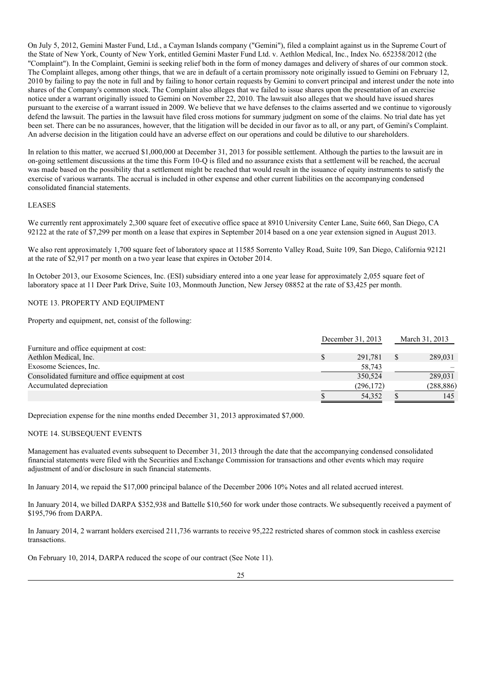On July 5, 2012, Gemini Master Fund, Ltd., a Cayman Islands company ("Gemini"), filed a complaint against us in the Supreme Court of the State of New York, County of New York, entitled Gemini Master Fund Ltd. v. Aethlon Medical, Inc., Index No. 652358/2012 (the "Complaint"). In the Complaint, Gemini is seeking relief both in the form of money damages and delivery of shares of our common stock. The Complaint alleges, among other things, that we are in default of a certain promissory note originally issued to Gemini on February 12, 2010 by failing to pay the note in full and by failing to honor certain requests by Gemini to convert principal and interest under the note into shares of the Company's common stock. The Complaint also alleges that we failed to issue shares upon the presentation of an exercise notice under a warrant originally issued to Gemini on November 22, 2010. The lawsuit also alleges that we should have issued shares pursuant to the exercise of a warrant issued in 2009. We believe that we have defenses to the claims asserted and we continue to vigorously defend the lawsuit. The parties in the lawsuit have filed cross motions for summary judgment on some of the claims. No trial date has yet been set. There can be no assurances, however, that the litigation will be decided in our favor as to all, or any part, of Gemini's Complaint. An adverse decision in the litigation could have an adverse effect on our operations and could be dilutive to our shareholders.

In relation to this matter, we accrued \$1,000,000 at December 31, 2013 for possible settlement. Although the parties to the lawsuit are in on-going settlement discussions at the time this Form 10-Q is filed and no assurance exists that a settlement will be reached, the accrual was made based on the possibility that a settlement might be reached that would result in the issuance of equity instruments to satisfy the exercise of various warrants. The accrual is included in other expense and other current liabilities on the accompanying condensed consolidated financial statements.

## LEASES

We currently rent approximately 2,300 square feet of executive office space at 8910 University Center Lane, Suite 660, San Diego, CA 92122 at the rate of \$7,299 per month on a lease that expires in September 2014 based on a one year extension signed in August 2013.

We also rent approximately 1,700 square feet of laboratory space at 11585 Sorrento Valley Road, Suite 109, San Diego, California 92121 at the rate of \$2,917 per month on a two year lease that expires in October 2014.

In October 2013, our Exosome Sciences, Inc. (ESI) subsidiary entered into a one year lease for approximately 2,055 square feet of laboratory space at 11 Deer Park Drive, Suite 103, Monmouth Junction, New Jersey 08852 at the rate of \$3,425 per month.

#### NOTE 13. PROPERTY AND EQUIPMENT

Property and equipment, net, consist of the following:

|                                                     | December 31, 2013 |            | March 31, 2013 |            |
|-----------------------------------------------------|-------------------|------------|----------------|------------|
| Furniture and office equipment at cost:             |                   |            |                |            |
| Aethlon Medical, Inc.                               |                   | 291.781    |                | 289,031    |
| Exosome Sciences, Inc.                              |                   | 58,743     |                |            |
| Consolidated furniture and office equipment at cost |                   | 350,524    |                | 289,031    |
| Accumulated depreciation                            |                   | (296, 172) |                | (288, 886) |
|                                                     |                   | 54,352     |                | 145        |

Depreciation expense for the nine months ended December 31, 2013 approximated \$7,000.

#### NOTE 14. SUBSEQUENT EVENTS

Management has evaluated events subsequent to December 31, 2013 through the date that the accompanying condensed consolidated financial statements were filed with the Securities and Exchange Commission for transactions and other events which may require adjustment of and/or disclosure in such financial statements.

In January 2014, we repaid the \$17,000 principal balance of the December 2006 10% Notes and all related accrued interest.

In January 2014, we billed DARPA \$352,938 and Battelle \$10,560 for work under those contracts.We subsequently received a payment of \$195,796 from DARPA.

In January 2014, 2 warrant holders exercised 211,736 warrants to receive 95,222 restricted shares of common stock in cashless exercise transactions.

On February 10, 2014, DARPA reduced the scope of our contract (See Note 11).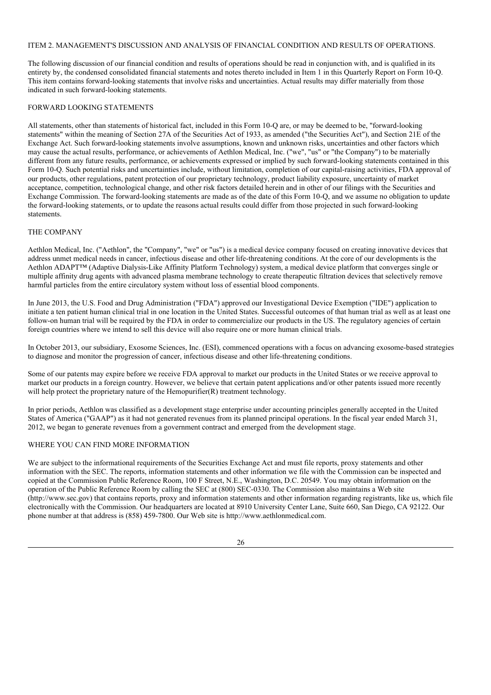#### ITEM 2. MANAGEMENT'S DISCUSSION AND ANALYSIS OF FINANCIAL CONDITION AND RESULTS OF OPERATIONS.

The following discussion of our financial condition and results of operations should be read in conjunction with, and is qualified in its entirety by, the condensed consolidated financial statements and notes thereto included in Item 1 in this Quarterly Report on Form 10-Q. This item contains forward-looking statements that involve risks and uncertainties. Actual results may differ materially from those indicated in such forward-looking statements.

## FORWARD LOOKING STATEMENTS

All statements, other than statements of historical fact, included in this Form 10-Q are, or may be deemed to be, "forward-looking statements" within the meaning of Section 27A of the Securities Act of 1933, as amended ("the Securities Act"), and Section 21E of the Exchange Act. Such forward-looking statements involve assumptions, known and unknown risks, uncertainties and other factors which may cause the actual results, performance, or achievements of Aethlon Medical, Inc. ("we", "us" or "the Company") to be materially different from any future results, performance, or achievements expressed or implied by such forward-looking statements contained in this Form 10-Q. Such potential risks and uncertainties include, without limitation, completion of our capital-raising activities, FDA approval of our products, other regulations, patent protection of our proprietary technology, product liability exposure, uncertainty of market acceptance, competition, technological change, and other risk factors detailed herein and in other of our filings with the Securities and Exchange Commission. The forward-looking statements are made as of the date of this Form 10-Q, and we assume no obligation to update the forward-looking statements, or to update the reasons actual results could differ from those projected in such forward-looking statements.

## THE COMPANY

Aethlon Medical, Inc. ("Aethlon", the "Company", "we" or "us") is a medical device company focused on creating innovative devices that address unmet medical needs in cancer, infectious disease and other life-threatening conditions. At the core of our developments is the Aethlon ADAPT™ (Adaptive Dialysis-Like Affinity Platform Technology) system, a medical device platform that converges single or multiple affinity drug agents with advanced plasma membrane technology to create therapeutic filtration devices that selectively remove harmful particles from the entire circulatory system without loss of essential blood components.

In June 2013, the U.S. Food and Drug Administration ("FDA") approved our Investigational Device Exemption ("IDE") application to initiate a ten patient human clinical trial in one location in the United States. Successful outcomes of that human trial as well as at least one follow-on human trial will be required by the FDA in order to commercialize our products in the US. The regulatory agencies of certain foreign countries where we intend to sell this device will also require one or more human clinical trials.

In October 2013, our subsidiary, Exosome Sciences, Inc. (ESI), commenced operations with a focus on advancing exosome-based strategies to diagnose and monitor the progression of cancer, infectious disease and other life-threatening conditions.

Some of our patents may expire before we receive FDA approval to market our products in the United States or we receive approval to market our products in a foreign country. However, we believe that certain patent applications and/or other patents issued more recently will help protect the proprietary nature of the Hemopurifier(R) treatment technology.

In prior periods, Aethlon was classified as a development stage enterprise under accounting principles generally accepted in the United States of America ("GAAP") as it had not generated revenues from its planned principal operations. In the fiscal year ended March 31, 2012, we began to generate revenues from a government contract and emerged from the development stage.

## WHERE YOU CAN FIND MORE INFORMATION

We are subject to the informational requirements of the Securities Exchange Act and must file reports, proxy statements and other information with the SEC. The reports, information statements and other information we file with the Commission can be inspected and copied at the Commission Public Reference Room, 100 F Street, N.E., Washington, D.C. 20549. You may obtain information on the operation of the Public Reference Room by calling the SEC at (800) SEC-0330. The Commission also maintains a Web site (http://www.sec.gov) that contains reports, proxy and information statements and other information regarding registrants, like us, which file electronically with the Commission. Our headquarters are located at 8910 University Center Lane, Suite 660, San Diego, CA 92122. Our phone number at that address is (858) 459-7800. Our Web site is http://www.aethlonmedical.com.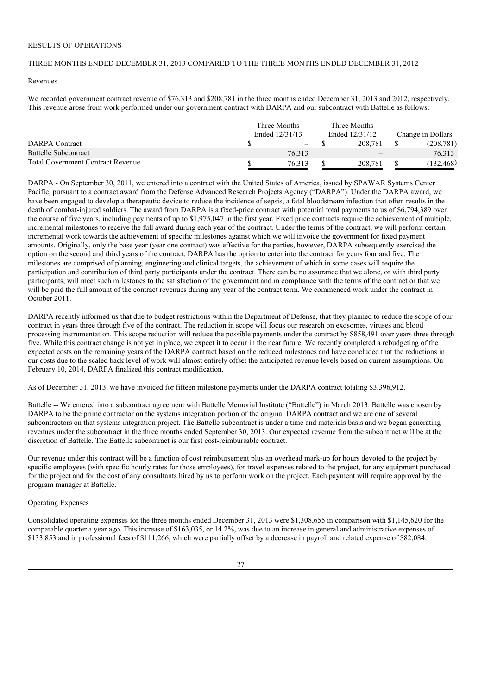#### RESULTS OF OPERATIONS

## THREE MONTHS ENDED DECEMBER 31, 2013 COMPARED TO THE THREE MONTHS ENDED DECEMBER 31, 2012

## Revenues

We recorded government contract revenue of \$76,313 and \$208,781 in the three months ended December 31, 2013 and 2012, respectively. This revenue arose from work performed under our government contract with DARPA and our subcontract with Battelle as follows:

|                                          | Three Months<br>Ended 12/31/13 | Three Months<br>Ended 12/31/12 | Change in Dollars |
|------------------------------------------|--------------------------------|--------------------------------|-------------------|
| <b>DARPA</b> Contract                    | $\overline{\phantom{0}}$       | 208.781                        | (208.781)         |
| <b>Battelle Subcontract</b>              | 76.313                         |                                | 76.313            |
| <b>Total Government Contract Revenue</b> | 76.313                         | 208.781                        | (132.468)         |

DARPA - On September 30, 2011, we entered into a contract with the United States of America, issued by SPAWAR Systems Center Pacific, pursuant to a contract award from the Defense Advanced Research Projects Agency ("DARPA"). Under the DARPA award, we have been engaged to develop a therapeutic device to reduce the incidence of sepsis, a fatal bloodstream infection that often results in the death of combat-injured soldiers. The award from DARPA is a fixed-price contract with potential total payments to us of \$6,794,389 over the course of five years, including payments of up to \$1,975,047 in the first year. Fixed price contracts require the achievement of multiple, incremental milestones to receive the full award during each year of the contract. Under the terms of the contract, we will perform certain incremental work towards the achievement of specific milestones against which we will invoice the government for fixed payment amounts. Originally, only the base year (year one contract) was effective for the parties, however, DARPA subsequently exercised the option on the second and third years of the contract. DARPA has the option to enter into the contract for years four and five. The milestones are comprised of planning, engineering and clinical targets, the achievement of which in some cases will require the participation and contribution of third party participants under the contract. There can be no assurance that we alone, or with third party participants, will meet such milestones to the satisfaction of the government and in compliance with the terms of the contract or that we will be paid the full amount of the contract revenues during any year of the contract term. We commenced work under the contract in October 2011.

DARPA recently informed us that due to budget restrictions within the Department of Defense, that they planned to reduce the scope of our contract in years three through five of the contract. The reduction in scope will focus our research on exosomes, viruses and blood processing instrumentation. This scope reduction will reduce the possible payments under the contract by \$858,491 over years three through five. While this contract change is not yet in place, we expect it to occur in the near future. We recently completed a rebudgeting of the expected costs on the remaining years of the DARPA contract based on the reduced milestones and have concluded that the reductions in our costs due to the scaled back level of work will almost entirely offset the anticipated revenue levels based on current assumptions. On February 10, 2014, DARPA finalized this contract modification.

As of December 31, 2013, we have invoiced for fifteen milestone payments under the DARPA contract totaling \$3,396,912.

Battelle -- We entered into a subcontract agreement with Battelle Memorial Institute ("Battelle") in March 2013. Battelle was chosen by DARPA to be the prime contractor on the systems integration portion of the original DARPA contract and we are one of several subcontractors on that systems integration project. The Battelle subcontract is under a time and materials basis and we began generating revenues under the subcontract in the three months ended September 30, 2013. Our expected revenue from the subcontract will be at the discretion of Battelle. The Battelle subcontract is our first cost-reimbursable contract.

Our revenue under this contract will be a function of cost reimbursement plus an overhead mark-up for hours devoted to the project by specific employees (with specific hourly rates for those employees), for travel expenses related to the project, for any equipment purchased for the project and for the cost of any consultants hired by us to perform work on the project. Each payment will require approval by the program manager at Battelle.

## Operating Expenses

Consolidated operating expenses for the three months ended December 31, 2013 were \$1,308,655 in comparison with \$1,145,620 for the comparable quarter a year ago. This increase of \$163,035, or 14.2%, was due to an increase in general and administrative expenses of \$133,853 and in professional fees of \$111,266, which were partially offset by a decrease in payroll and related expense of \$82,084.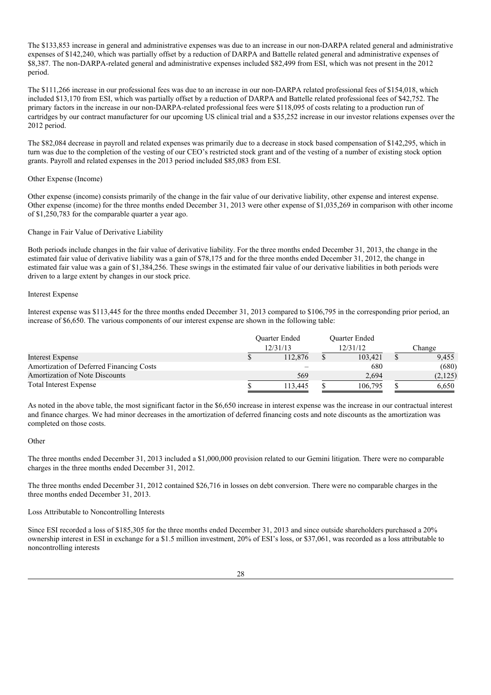The \$133,853 increase in general and administrative expenses was due to an increase in our non-DARPA related general and administrative expenses of \$142,240, which was partially offset by a reduction of DARPA and Battelle related general and administrative expenses of \$8,387. The non-DARPA-related general and administrative expenses included \$82,499 from ESI, which was not present in the 2012 period.

The \$111,266 increase in our professional fees was due to an increase in our non-DARPA related professional fees of \$154,018, which included \$13,170 from ESI, which was partially offset by a reduction of DARPA and Battelle related professional fees of \$42,752. The primary factors in the increase in our non-DARPA-related professional fees were \$118,095 of costs relating to a production run of cartridges by our contract manufacturer for our upcoming US clinical trial and a \$35,252 increase in our investor relations expenses over the 2012 period.

The \$82,084 decrease in payroll and related expenses was primarily due to a decrease in stock based compensation of \$142,295, which in turn was due to the completion of the vesting of our CEO's restricted stock grant and of the vesting of a number of existing stock option grants. Payroll and related expenses in the 2013 period included \$85,083 from ESI.

#### Other Expense (Income)

Other expense (income) consists primarily of the change in the fair value of our derivative liability, other expense and interest expense. Other expense (income) for the three months ended December 31, 2013 were other expense of \$1,035,269 in comparison with other income of \$1,250,783 for the comparable quarter a year ago.

#### Change in Fair Value of Derivative Liability

Both periods include changes in the fair value of derivative liability. For the three months ended December 31, 2013, the change in the estimated fair value of derivative liability was a gain of \$78,175 and for the three months ended December 31, 2012, the change in estimated fair value was a gain of \$1,384,256. These swings in the estimated fair value of our derivative liabilities in both periods were driven to a large extent by changes in our stock price.

#### Interest Expense

Interest expense was \$113,445 for the three months ended December 31, 2013 compared to \$106,795 in the corresponding prior period, an increase of \$6,650. The various components of our interest expense are shown in the following table:

|                                          | Quarter Ended |          | Quarter Ended |          |         |
|------------------------------------------|---------------|----------|---------------|----------|---------|
|                                          |               | 12/31/13 |               | 12/31/12 | Change  |
| Interest Expense                         |               | 112.876  |               | 103.421  | 9,455   |
| Amortization of Deferred Financing Costs |               |          |               | 680      | (680)   |
| Amortization of Note Discounts           |               | 569      |               | 2.694    | (2,125) |
| <b>Total Interest Expense</b>            |               | 113.445  |               | 106.795  | 6.650   |

As noted in the above table, the most significant factor in the \$6,650 increase in interest expense was the increase in our contractual interest and finance charges. We had minor decreases in the amortization of deferred financing costs and note discounts as the amortization was completed on those costs.

#### Other

The three months ended December 31, 2013 included a \$1,000,000 provision related to our Gemini litigation. There were no comparable charges in the three months ended December 31, 2012.

The three months ended December 31, 2012 contained \$26,716 in losses on debt conversion. There were no comparable charges in the three months ended December 31, 2013.

## Loss Attributable to Noncontrolling Interests

Since ESI recorded a loss of \$185,305 for the three months ended December 31, 2013 and since outside shareholders purchased a 20% ownership interest in ESI in exchange for a \$1.5 million investment, 20% of ESI's loss, or \$37,061, was recorded as a loss attributable to noncontrolling interests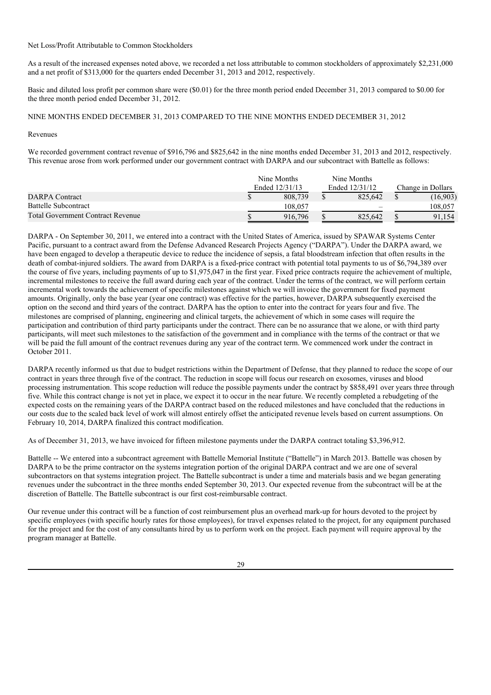Net Loss/Profit Attributable to Common Stockholders

As a result of the increased expenses noted above, we recorded a net loss attributable to common stockholders of approximately \$2,231,000 and a net profit of \$313,000 for the quarters ended December 31, 2013 and 2012, respectively.

Basic and diluted loss profit per common share were (\$0.01) for the three month period ended December 31, 2013 compared to \$0.00 for the three month period ended December 31, 2012.

## NINE MONTHS ENDED DECEMBER 31, 2013 COMPARED TO THE NINE MONTHS ENDED DECEMBER 31, 2012

Revenues

We recorded government contract revenue of \$916,796 and \$825,642 in the nine months ended December 31, 2013 and 2012, respectively. This revenue arose from work performed under our government contract with DARPA and our subcontract with Battelle as follows:

|                                          | Nine Months    |  | Nine Months    |                   |
|------------------------------------------|----------------|--|----------------|-------------------|
|                                          | Ended 12/31/13 |  | Ended 12/31/12 | Change in Dollars |
| <b>DARPA</b> Contract                    | 808,739        |  | 825.642        | (16,903)          |
| <b>Battelle Subcontract</b>              | 108.057        |  |                | 108.057           |
| <b>Total Government Contract Revenue</b> | 916,796        |  | 825.642        | 91.154            |

DARPA - On September 30, 2011, we entered into a contract with the United States of America, issued by SPAWAR Systems Center Pacific, pursuant to a contract award from the Defense Advanced Research Projects Agency ("DARPA"). Under the DARPA award, we have been engaged to develop a therapeutic device to reduce the incidence of sepsis, a fatal bloodstream infection that often results in the death of combat-injured soldiers. The award from DARPA is a fixed-price contract with potential total payments to us of \$6,794,389 over the course of five years, including payments of up to \$1,975,047 in the first year. Fixed price contracts require the achievement of multiple, incremental milestones to receive the full award during each year of the contract. Under the terms of the contract, we will perform certain incremental work towards the achievement of specific milestones against which we will invoice the government for fixed payment amounts. Originally, only the base year (year one contract) was effective for the parties, however, DARPA subsequently exercised the option on the second and third years of the contract. DARPA has the option to enter into the contract for years four and five. The milestones are comprised of planning, engineering and clinical targets, the achievement of which in some cases will require the participation and contribution of third party participants under the contract. There can be no assurance that we alone, or with third party participants, will meet such milestones to the satisfaction of the government and in compliance with the terms of the contract or that we will be paid the full amount of the contract revenues during any year of the contract term. We commenced work under the contract in October 2011.

DARPA recently informed us that due to budget restrictions within the Department of Defense, that they planned to reduce the scope of our contract in years three through five of the contract. The reduction in scope will focus our research on exosomes, viruses and blood processing instrumentation. This scope reduction will reduce the possible payments under the contract by \$858,491 over years three through five. While this contract change is not yet in place, we expect it to occur in the near future. We recently completed a rebudgeting of the expected costs on the remaining years of the DARPA contract based on the reduced milestones and have concluded that the reductions in our costs due to the scaled back level of work will almost entirely offset the anticipated revenue levels based on current assumptions. On February 10, 2014, DARPA finalized this contract modification.

As of December 31, 2013, we have invoiced for fifteen milestone payments under the DARPA contract totaling \$3,396,912.

Battelle -- We entered into a subcontract agreement with Battelle Memorial Institute ("Battelle") in March 2013. Battelle was chosen by DARPA to be the prime contractor on the systems integration portion of the original DARPA contract and we are one of several subcontractors on that systems integration project. The Battelle subcontract is under a time and materials basis and we began generating revenues under the subcontract in the three months ended September 30, 2013. Our expected revenue from the subcontract will be at the discretion of Battelle. The Battelle subcontract is our first cost-reimbursable contract.

Our revenue under this contract will be a function of cost reimbursement plus an overhead mark-up for hours devoted to the project by specific employees (with specific hourly rates for those employees), for travel expenses related to the project, for any equipment purchased for the project and for the cost of any consultants hired by us to perform work on the project. Each payment will require approval by the program manager at Battelle.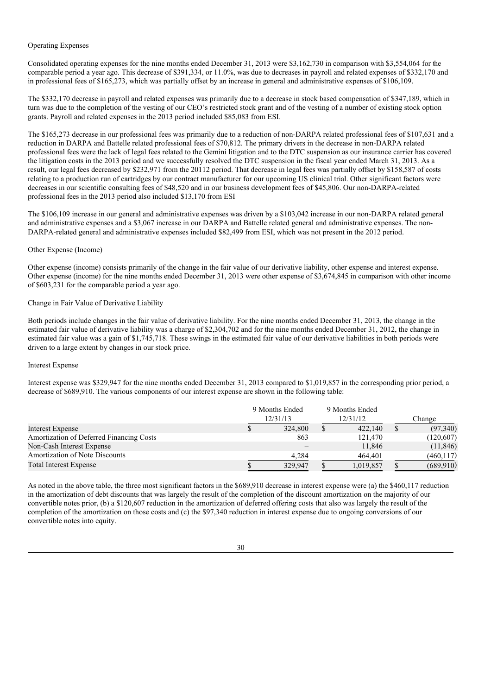#### Operating Expenses

Consolidated operating expenses for the nine months ended December 31, 2013 were \$3,162,730 in comparison with \$3,554,064 for the comparable period a year ago. This decrease of \$391,334, or 11.0%, was due to decreases in payroll and related expenses of \$332,170 and in professional fees of \$165,273, which was partially offset by an increase in general and administrative expenses of \$106,109.

The \$332,170 decrease in payroll and related expenses was primarily due to a decrease in stock based compensation of \$347,189, which in turn was due to the completion of the vesting of our CEO's restricted stock grant and of the vesting of a number of existing stock option grants. Payroll and related expenses in the 2013 period included \$85,083 from ESI.

The \$165,273 decrease in our professional fees was primarily due to a reduction of non-DARPA related professional fees of \$107,631 and a reduction in DARPA and Battelle related professional fees of \$70,812. The primary drivers in the decrease in non-DARPA related professional fees were the lack of legal fees related to the Gemini litigation and to the DTC suspension as our insurance carrier has covered the litigation costs in the 2013 period and we successfully resolved the DTC suspension in the fiscal year ended March 31, 2013. As a result, our legal fees decreased by \$232,971 from the 20112 period. That decrease in legal fees was partially offset by \$158,587 of costs relating to a production run of cartridges by our contract manufacturer for our upcoming US clinical trial. Other significant factors were decreases in our scientific consulting fees of \$48,520 and in our business development fees of \$45,806. Our non-DARPA-related professional fees in the 2013 period also included \$13,170 from ESI

The \$106,109 increase in our general and administrative expenses was driven by a \$103,042 increase in our non-DARPA related general and administrative expenses and a \$3,067 increase in our DARPA and Battelle related general and administrative expenses. The non-DARPA-related general and administrative expenses included \$82,499 from ESI, which was not present in the 2012 period.

#### Other Expense (Income)

Other expense (income) consists primarily of the change in the fair value of our derivative liability, other expense and interest expense. Other expense (income) for the nine months ended December 31, 2013 were other expense of \$3,674,845 in comparison with other income of \$603,231 for the comparable period a year ago.

## Change in Fair Value of Derivative Liability

Both periods include changes in the fair value of derivative liability. For the nine months ended December 31, 2013, the change in the estimated fair value of derivative liability was a charge of \$2,304,702 and for the nine months ended December 31, 2012, the change in estimated fair value was a gain of \$1,745,718. These swings in the estimated fair value of our derivative liabilities in both periods were driven to a large extent by changes in our stock price.

#### Interest Expense

Interest expense was \$329,947 for the nine months ended December 31, 2013 compared to \$1,019,857 in the corresponding prior period, a decrease of \$689,910. The various components of our interest expense are shown in the following table:

|                                          |  | 9 Months Ended |  | 9 Months Ended |            |  |  |
|------------------------------------------|--|----------------|--|----------------|------------|--|--|
|                                          |  | 12/31/13       |  | 12/31/12       | Change     |  |  |
| Interest Expense                         |  | 324,800        |  | 422,140        | (97,340)   |  |  |
| Amortization of Deferred Financing Costs |  | 863            |  | 121,470        | (120,607)  |  |  |
| Non-Cash Interest Expense                |  |                |  | 11,846         | (11, 846)  |  |  |
| Amortization of Note Discounts           |  | 4,284          |  | 464,401        | (460, 117) |  |  |
| <b>Total Interest Expense</b>            |  | 329,947        |  | 1.019.857      | (689.910)  |  |  |

As noted in the above table, the three most significant factors in the \$689,910 decrease in interest expense were (a) the \$460,117 reduction in the amortization of debt discounts that was largely the result of the completion of the discount amortization on the majority of our convertible notes prior, (b) a \$120,607 reduction in the amortization of deferred offering costs that also was largely the result of the completion of the amortization on those costs and (c) the \$97,340 reduction in interest expense due to ongoing conversions of our convertible notes into equity.

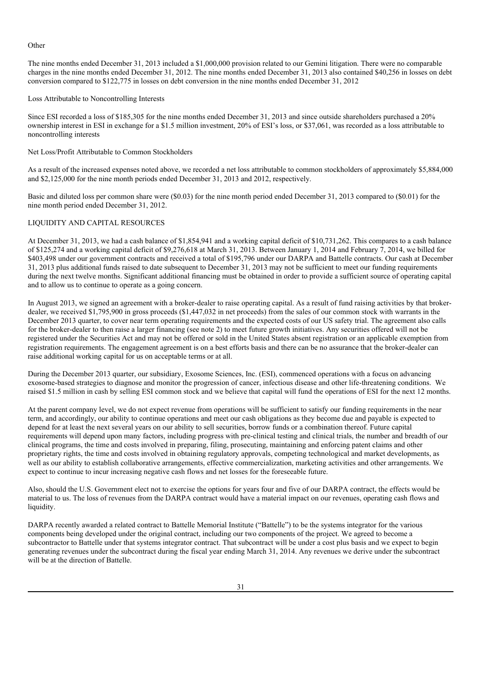#### **Other**

The nine months ended December 31, 2013 included a \$1,000,000 provision related to our Gemini litigation. There were no comparable charges in the nine months ended December 31, 2012. The nine months ended December 31, 2013 also contained \$40,256 in losses on debt conversion compared to \$122,775 in losses on debt conversion in the nine months ended December 31, 2012

Loss Attributable to Noncontrolling Interests

Since ESI recorded a loss of \$185,305 for the nine months ended December 31, 2013 and since outside shareholders purchased a 20% ownership interest in ESI in exchange for a \$1.5 million investment, 20% of ESI's loss, or \$37,061, was recorded as a loss attributable to noncontrolling interests

#### Net Loss/Profit Attributable to Common Stockholders

As a result of the increased expenses noted above, we recorded a net loss attributable to common stockholders of approximately \$5,884,000 and \$2,125,000 for the nine month periods ended December 31, 2013 and 2012, respectively.

Basic and diluted loss per common share were (\$0.03) for the nine month period ended December 31, 2013 compared to (\$0.01) for the nine month period ended December 31, 2012.

## LIQUIDITY AND CAPITAL RESOURCES

At December 31, 2013, we had a cash balance of \$1,854,941 and a working capital deficit of \$10,731,262. This compares to a cash balance of \$125,274 and a working capital deficit of \$9,276,618 at March 31, 2013. Between January 1, 2014 and February 7, 2014, we billed for \$403,498 under our government contracts and received a total of \$195,796 under our DARPA and Battelle contracts. Our cash at December 31, 2013 plus additional funds raised to date subsequent to December 31, 2013 may not be sufficient to meet our funding requirements during the next twelve months. Significant additional financing must be obtained in order to provide a sufficient source of operating capital and to allow us to continue to operate as a going concern.

In August 2013, we signed an agreement with a broker-dealer to raise operating capital. As a result of fund raising activities by that brokerdealer, we received \$1,795,900 in gross proceeds (\$1,447,032 in net proceeds) from the sales of our common stock with warrants in the December 2013 quarter, to cover near term operating requirements and the expected costs of our US safety trial. The agreement also calls for the broker-dealer to then raise a larger financing (see note 2) to meet future growth initiatives. Any securities offered will not be registered under the Securities Act and may not be offered or sold in the United States absent registration or an applicable exemption from registration requirements. The engagement agreement is on a best efforts basis and there can be no assurance that the broker-dealer can raise additional working capital for us on acceptable terms or at all.

During the December 2013 quarter, our subsidiary, Exosome Sciences, Inc. (ESI), commenced operations with a focus on advancing exosome-based strategies to diagnose and monitor the progression of cancer, infectious disease and other life-threatening conditions. We raised \$1.5 million in cash by selling ESI common stock and we believe that capital will fund the operations of ESI for the next 12 months.

At the parent company level, we do not expect revenue from operations will be sufficient to satisfy our funding requirements in the near term, and accordingly, our ability to continue operations and meet our cash obligations as they become due and payable is expected to depend for at least the next several years on our ability to sell securities, borrow funds or a combination thereof. Future capital requirements will depend upon many factors, including progress with pre-clinical testing and clinical trials, the number and breadth of our clinical programs, the time and costs involved in preparing, filing, prosecuting, maintaining and enforcing patent claims and other proprietary rights, the time and costs involved in obtaining regulatory approvals, competing technological and market developments, as well as our ability to establish collaborative arrangements, effective commercialization, marketing activities and other arrangements. We expect to continue to incur increasing negative cash flows and net losses for the foreseeable future.

Also, should the U.S. Government elect not to exercise the options for years four and five of our DARPA contract, the effects would be material to us. The loss of revenues from the DARPA contract would have a material impact on our revenues, operating cash flows and liquidity.

DARPA recently awarded a related contract to Battelle Memorial Institute ("Battelle") to be the systems integrator for the various components being developed under the original contract, including our two components of the project. We agreed to become a subcontractor to Battelle under that systems integrator contract. That subcontract will be under a cost plus basis and we expect to begin generating revenues under the subcontract during the fiscal year ending March 31, 2014. Any revenues we derive under the subcontract will be at the direction of Battelle.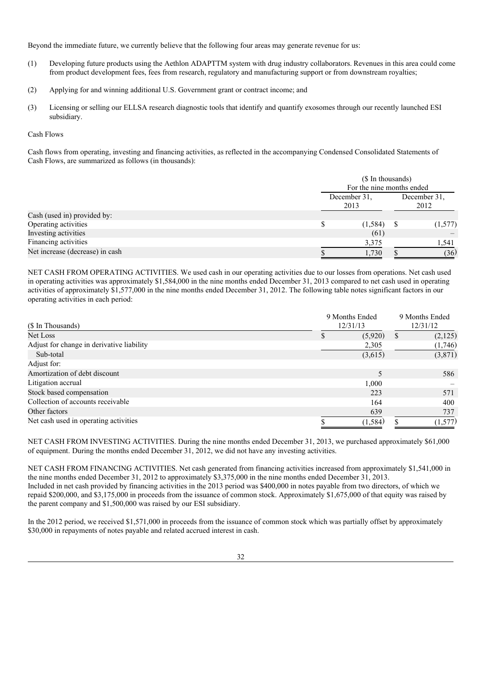Beyond the immediate future, we currently believe that the following four areas may generate revenue for us:

- (1) Developing future products using the Aethlon ADAPTTM system with drug industry collaborators. Revenues in this area could come from product development fees, fees from research, regulatory and manufacturing support or from downstream royalties;
- (2) Applying for and winning additional U.S. Government grant or contract income; and
- (3) Licensing or selling our ELLSA research diagnostic tools that identify and quantify exosomes through our recently launched ESI subsidiary.

## Cash Flows

Cash flows from operating, investing and financing activities, as reflected in the accompanying Condensed Consolidated Statements of Cash Flows, are summarized as follows (in thousands):

|                                 | (\$ In thousands)<br>For the nine months ended |  |                      |  |  |
|---------------------------------|------------------------------------------------|--|----------------------|--|--|
|                                 | December 31,<br>2013                           |  | December 31.<br>2012 |  |  |
| Cash (used in) provided by:     |                                                |  |                      |  |  |
| Operating activities            | (1, 584)                                       |  | (1,577)              |  |  |
| Investing activities            | (61)                                           |  |                      |  |  |
| Financing activities            | 3,375                                          |  | 1,541                |  |  |
| Net increase (decrease) in cash | 1,730                                          |  | (36)                 |  |  |

NET CASH FROM OPERATING ACTIVITIES. We used cash in our operating activities due to our losses from operations. Net cash used in operating activities was approximately \$1,584,000 in the nine months ended December 31, 2013 compared to net cash used in operating activities of approximately \$1,577,000 in the nine months ended December 31, 2012. The following table notes significant factors in our operating activities in each period:

|                                           | 9 Months Ended | 9 Months Ended |  |
|-------------------------------------------|----------------|----------------|--|
| (\$ In Thousands)                         | 12/31/13       | 12/31/12       |  |
| Net Loss                                  | (5,920)        | (2,125)<br>S   |  |
| Adjust for change in derivative liability | 2,305          | (1,746)        |  |
| Sub-total                                 | (3,615)        | (3,871)        |  |
| Adjust for:                               |                |                |  |
| Amortization of debt discount             |                | 586            |  |
| Litigation accrual                        | 1,000          |                |  |
| Stock based compensation                  | 223            | 571            |  |
| Collection of accounts receivable         | 164            | 400            |  |
| Other factors                             | 639            | 737            |  |
| Net cash used in operating activities     | (1, 584)       | (1,577)        |  |

NET CASH FROM INVESTING ACTIVITIES. During the nine months ended December 31, 2013, we purchased approximately \$61,000 of equipment. During the months ended December 31, 2012, we did not have any investing activities.

NET CASH FROM FINANCING ACTIVITIES. Net cash generated from financing activities increased from approximately \$1,541,000 in the nine months ended December 31, 2012 to approximately \$3,375,000 in the nine months ended December 31, 2013. Included in net cash provided by financing activities in the 2013 period was \$400,000 in notes payable from two directors, of which we repaid \$200,000, and \$3,175,000 in proceeds from the issuance of common stock. Approximately \$1,675,000 of that equity was raised by the parent company and \$1,500,000 was raised by our ESI subsidiary.

In the 2012 period, we received \$1,571,000 in proceeds from the issuance of common stock which was partially offset by approximately \$30,000 in repayments of notes payable and related accrued interest in cash.

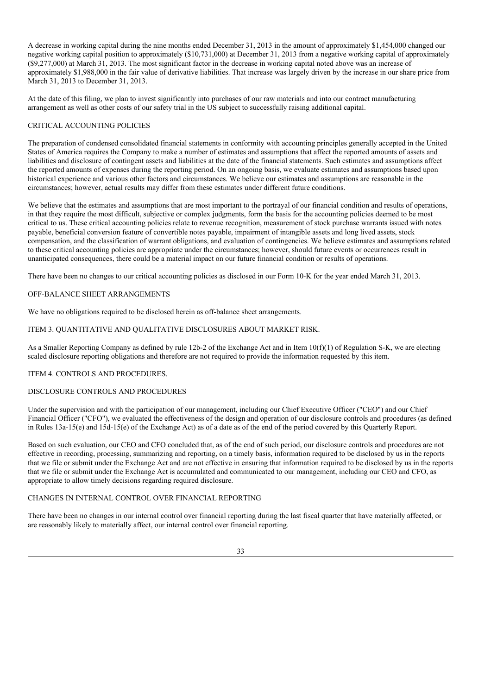A decrease in working capital during the nine months ended December 31, 2013 in the amount of approximately \$1,454,000 changed our negative working capital position to approximately (\$10,731,000) at December 31, 2013 from a negative working capital of approximately (\$9,277,000) at March 31, 2013. The most significant factor in the decrease in working capital noted above was an increase of approximately \$1,988,000 in the fair value of derivative liabilities. That increase was largely driven by the increase in our share price from March 31, 2013 to December 31, 2013.

At the date of this filing, we plan to invest significantly into purchases of our raw materials and into our contract manufacturing arrangement as well as other costs of our safety trial in the US subject to successfully raising additional capital.

## CRITICAL ACCOUNTING POLICIES

The preparation of condensed consolidated financial statements in conformity with accounting principles generally accepted in the United States of America requires the Company to make a number of estimates and assumptions that affect the reported amounts of assets and liabilities and disclosure of contingent assets and liabilities at the date of the financial statements. Such estimates and assumptions affect the reported amounts of expenses during the reporting period. On an ongoing basis, we evaluate estimates and assumptions based upon historical experience and various other factors and circumstances. We believe our estimates and assumptions are reasonable in the circumstances; however, actual results may differ from these estimates under different future conditions.

We believe that the estimates and assumptions that are most important to the portrayal of our financial condition and results of operations, in that they require the most difficult, subjective or complex judgments, form the basis for the accounting policies deemed to be most critical to us. These critical accounting policies relate to revenue recognition, measurement of stock purchase warrants issued with notes payable, beneficial conversion feature of convertible notes payable, impairment of intangible assets and long lived assets, stock compensation, and the classification of warrant obligations, and evaluation of contingencies. We believe estimates and assumptions related to these critical accounting policies are appropriate under the circumstances; however, should future events or occurrences result in unanticipated consequences, there could be a material impact on our future financial condition or results of operations.

There have been no changes to our critical accounting policies as disclosed in our Form 10-K for the year ended March 31, 2013.

## OFF-BALANCE SHEET ARRANGEMENTS

We have no obligations required to be disclosed herein as off-balance sheet arrangements.

## ITEM 3. QUANTITATIVE AND QUALITATIVE DISCLOSURES ABOUT MARKET RISK.

As a Smaller Reporting Company as defined by rule 12b-2 of the Exchange Act and in Item 10(f)(1) of Regulation S-K, we are electing scaled disclosure reporting obligations and therefore are not required to provide the information requested by this item.

## ITEM 4. CONTROLS AND PROCEDURES.

## DISCLOSURE CONTROLS AND PROCEDURES

Under the supervision and with the participation of our management, including our Chief Executive Officer ("CEO") and our Chief Financial Officer ("CFO"), we evaluated the effectiveness of the design and operation of our disclosure controls and procedures (as defined in Rules 13a-15(e) and 15d-15(e) of the Exchange Act) as of a date as of the end of the period covered by this Quarterly Report.

Based on such evaluation, our CEO and CFO concluded that, as of the end of such period, our disclosure controls and procedures are not effective in recording, processing, summarizing and reporting, on a timely basis, information required to be disclosed by us in the reports that we file or submit under the Exchange Act and are not effective in ensuring that information required to be disclosed by us in the reports that we file or submit under the Exchange Act is accumulated and communicated to our management, including our CEO and CFO, as appropriate to allow timely decisions regarding required disclosure.

## CHANGES IN INTERNAL CONTROL OVER FINANCIAL REPORTING

There have been no changes in our internal control over financial reporting during the last fiscal quarter that have materially affected, or are reasonably likely to materially affect, our internal control over financial reporting.

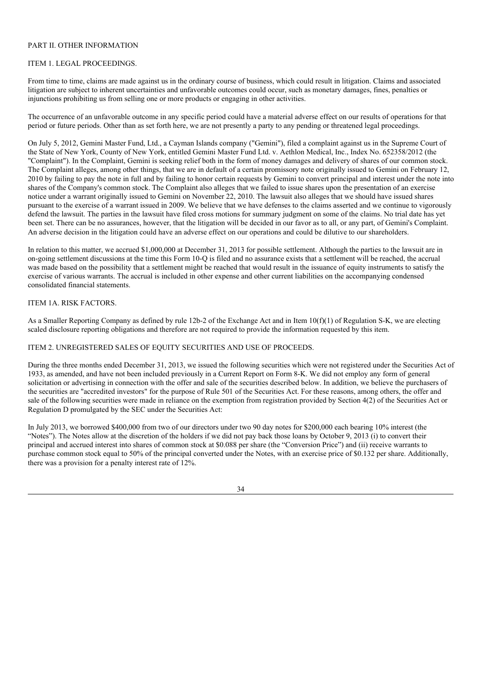## PART II. OTHER INFORMATION

#### ITEM 1. LEGAL PROCEEDINGS.

From time to time, claims are made against us in the ordinary course of business, which could result in litigation. Claims and associated litigation are subject to inherent uncertainties and unfavorable outcomes could occur, such as monetary damages, fines, penalties or injunctions prohibiting us from selling one or more products or engaging in other activities.

The occurrence of an unfavorable outcome in any specific period could have a material adverse effect on our results of operations for that period or future periods. Other than as set forth here, we are not presently a party to any pending or threatened legal proceedings.

On July 5, 2012, Gemini Master Fund, Ltd., a Cayman Islands company ("Gemini"), filed a complaint against us in the Supreme Court of the State of New York, County of New York, entitled Gemini Master Fund Ltd. v. Aethlon Medical, Inc., Index No. 652358/2012 (the "Complaint"). In the Complaint, Gemini is seeking relief both in the form of money damages and delivery of shares of our common stock. The Complaint alleges, among other things, that we are in default of a certain promissory note originally issued to Gemini on February 12, 2010 by failing to pay the note in full and by failing to honor certain requests by Gemini to convert principal and interest under the note into shares of the Company's common stock. The Complaint also alleges that we failed to issue shares upon the presentation of an exercise notice under a warrant originally issued to Gemini on November 22, 2010. The lawsuit also alleges that we should have issued shares pursuant to the exercise of a warrant issued in 2009. We believe that we have defenses to the claims asserted and we continue to vigorously defend the lawsuit. The parties in the lawsuit have filed cross motions for summary judgment on some of the claims. No trial date has yet been set. There can be no assurances, however, that the litigation will be decided in our favor as to all, or any part, of Gemini's Complaint. An adverse decision in the litigation could have an adverse effect on our operations and could be dilutive to our shareholders.

In relation to this matter, we accrued \$1,000,000 at December 31, 2013 for possible settlement. Although the parties to the lawsuit are in on-going settlement discussions at the time this Form 10-Q is filed and no assurance exists that a settlement will be reached, the accrual was made based on the possibility that a settlement might be reached that would result in the issuance of equity instruments to satisfy the exercise of various warrants. The accrual is included in other expense and other current liabilities on the accompanying condensed consolidated financial statements.

## ITEM 1A. RISK FACTORS.

As a Smaller Reporting Company as defined by rule 12b-2 of the Exchange Act and in Item 10(f)(1) of Regulation S-K, we are electing scaled disclosure reporting obligations and therefore are not required to provide the information requested by this item.

# ITEM 2. UNREGISTERED SALES OF EQUITY SECURITIES AND USE OF PROCEEDS.

During the three months ended December 31, 2013, we issued the following securities which were not registered under the Securities Act of 1933, as amended, and have not been included previously in a Current Report on Form 8-K. We did not employ any form of general solicitation or advertising in connection with the offer and sale of the securities described below. In addition, we believe the purchasers of the securities are "accredited investors" for the purpose of Rule 501 of the Securities Act. For these reasons, among others, the offer and sale of the following securities were made in reliance on the exemption from registration provided by Section 4(2) of the Securities Act or Regulation D promulgated by the SEC under the Securities Act:

In July 2013, we borrowed \$400,000 from two of our directors under two 90 day notes for \$200,000 each bearing 10% interest (the "Notes"). The Notes allow at the discretion of the holders if we did not pay back those loans by October 9, 2013 (i) to convert their principal and accrued interest into shares of common stock at \$0.088 per share (the "Conversion Price") and (ii) receive warrants to purchase common stock equal to 50% of the principal converted under the Notes, with an exercise price of \$0.132 per share. Additionally, there was a provision for a penalty interest rate of 12%.

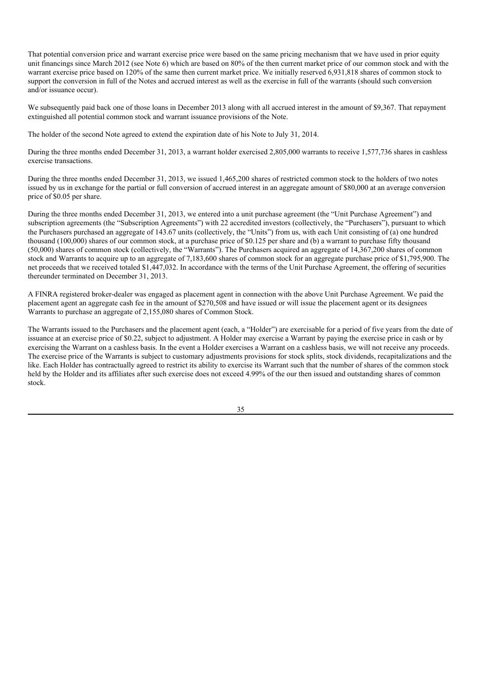That potential conversion price and warrant exercise price were based on the same pricing mechanism that we have used in prior equity unit financings since March 2012 (see Note 6) which are based on 80% of the then current market price of our common stock and with the warrant exercise price based on 120% of the same then current market price. We initially reserved 6,931,818 shares of common stock to support the conversion in full of the Notes and accrued interest as well as the exercise in full of the warrants (should such conversion and/or issuance occur).

We subsequently paid back one of those loans in December 2013 along with all accrued interest in the amount of \$9,367. That repayment extinguished all potential common stock and warrant issuance provisions of the Note.

The holder of the second Note agreed to extend the expiration date of his Note to July 31, 2014.

During the three months ended December 31, 2013, a warrant holder exercised 2,805,000 warrants to receive 1,577,736 shares in cashless exercise transactions.

During the three months ended December 31, 2013, we issued 1,465,200 shares of restricted common stock to the holders of two notes issued by us in exchange for the partial or full conversion of accrued interest in an aggregate amount of \$80,000 at an average conversion price of \$0.05 per share.

During the three months ended December 31, 2013, we entered into a unit purchase agreement (the "Unit Purchase Agreement") and subscription agreements (the "Subscription Agreements") with 22 accredited investors (collectively, the "Purchasers"), pursuant to which the Purchasers purchased an aggregate of 143.67 units (collectively, the "Units") from us, with each Unit consisting of (a) one hundred thousand (100,000) shares of our common stock, at a purchase price of \$0.125 per share and (b) a warrant to purchase fifty thousand (50,000) shares of common stock (collectively, the "Warrants"). The Purchasers acquired an aggregate of 14,367,200 shares of common stock and Warrants to acquire up to an aggregate of 7,183,600 shares of common stock for an aggregate purchase price of \$1,795,900. The net proceeds that we received totaled \$1,447,032. In accordance with the terms of the Unit Purchase Agreement, the offering of securities thereunder terminated on December 31, 2013.

A FINRA registered broker-dealer was engaged as placement agent in connection with the above Unit Purchase Agreement. We paid the placement agent an aggregate cash fee in the amount of \$270,508 and have issued or will issue the placement agent or its designees Warrants to purchase an aggregate of 2,155,080 shares of Common Stock.

The Warrants issued to the Purchasers and the placement agent (each, a "Holder") are exercisable for a period of five years from the date of issuance at an exercise price of \$0.22, subject to adjustment. A Holder may exercise a Warrant by paying the exercise price in cash or by exercising the Warrant on a cashless basis. In the event a Holder exercises a Warrant on a cashless basis, we will not receive any proceeds. The exercise price of the Warrants is subject to customary adjustments provisions for stock splits, stock dividends, recapitalizations and the like. Each Holder has contractually agreed to restrict its ability to exercise its Warrant such that the number of shares of the common stock held by the Holder and its affiliates after such exercise does not exceed 4.99% of the our then issued and outstanding shares of common stock.

35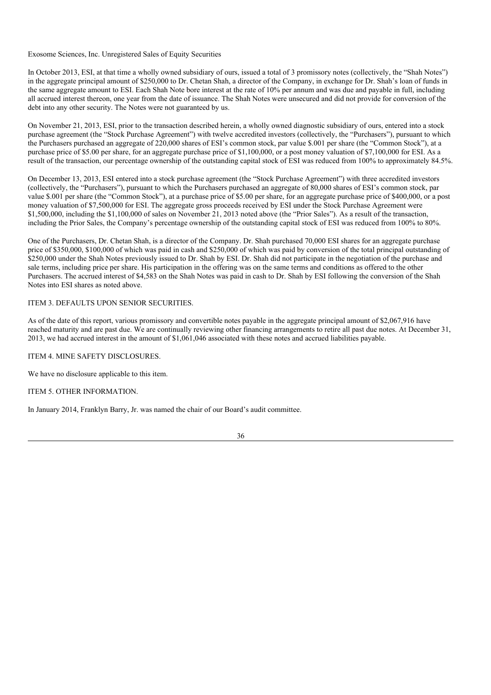## Exosome Sciences, Inc. Unregistered Sales of Equity Securities

In October 2013, ESI, at that time a wholly owned subsidiary of ours, issued a total of 3 promissory notes (collectively, the "Shah Notes") in the aggregate principal amount of \$250,000 to Dr. Chetan Shah, a director of the Company, in exchange for Dr. Shah's loan of funds in the same aggregate amount to ESI. Each Shah Note bore interest at the rate of 10% per annum and was due and payable in full, including all accrued interest thereon, one year from the date of issuance. The Shah Notes were unsecured and did not provide for conversion of the debt into any other security. The Notes were not guaranteed by us.

On November 21, 2013, ESI, prior to the transaction described herein, a wholly owned diagnostic subsidiary of ours, entered into a stock purchase agreement (the "Stock Purchase Agreement") with twelve accredited investors (collectively, the "Purchasers"), pursuant to which the Purchasers purchased an aggregate of 220,000 shares of ESI's common stock, par value \$.001 per share (the "Common Stock"), at a purchase price of \$5.00 per share, for an aggregate purchase price of \$1,100,000, or a post money valuation of \$7,100,000 for ESI. As a result of the transaction, our percentage ownership of the outstanding capital stock of ESI was reduced from 100% to approximately 84.5%.

On December 13, 2013, ESI entered into a stock purchase agreement (the "Stock Purchase Agreement") with three accredited investors (collectively, the "Purchasers"), pursuant to which the Purchasers purchased an aggregate of 80,000 shares of ESI's common stock, par value \$.001 per share (the "Common Stock"), at a purchase price of \$5.00 per share, for an aggregate purchase price of \$400,000, or a post money valuation of \$7,500,000 for ESI. The aggregate gross proceeds received by ESI under the Stock Purchase Agreement were \$1,500,000, including the \$1,100,000 of sales on November 21, 2013 noted above (the "Prior Sales"). As a result of the transaction, including the Prior Sales, the Company's percentage ownership of the outstanding capital stock of ESI was reduced from 100% to 80%.

One of the Purchasers, Dr. Chetan Shah, is a director of the Company. Dr. Shah purchased 70,000 ESI shares for an aggregate purchase price of \$350,000, \$100,000 of which was paid in cash and \$250,000 of which was paid by conversion of the total principal outstanding of \$250,000 under the Shah Notes previously issued to Dr. Shah by ESI. Dr. Shah did not participate in the negotiation of the purchase and sale terms, including price per share. His participation in the offering was on the same terms and conditions as offered to the other Purchasers. The accrued interest of \$4,583 on the Shah Notes was paid in cash to Dr. Shah by ESI following the conversion of the Shah Notes into ESI shares as noted above.

## ITEM 3. DEFAULTS UPON SENIOR SECURITIES.

As of the date of this report, various promissory and convertible notes payable in the aggregate principal amount of \$2,067,916 have reached maturity and are past due. We are continually reviewing other financing arrangements to retire all past due notes. At December 31, 2013, we had accrued interest in the amount of \$1,061,046 associated with these notes and accrued liabilities payable.

ITEM 4. MINE SAFETY DISCLOSURES.

We have no disclosure applicable to this item.

ITEM 5. OTHER INFORMATION.

In January 2014, Franklyn Barry, Jr. was named the chair of our Board's audit committee.

36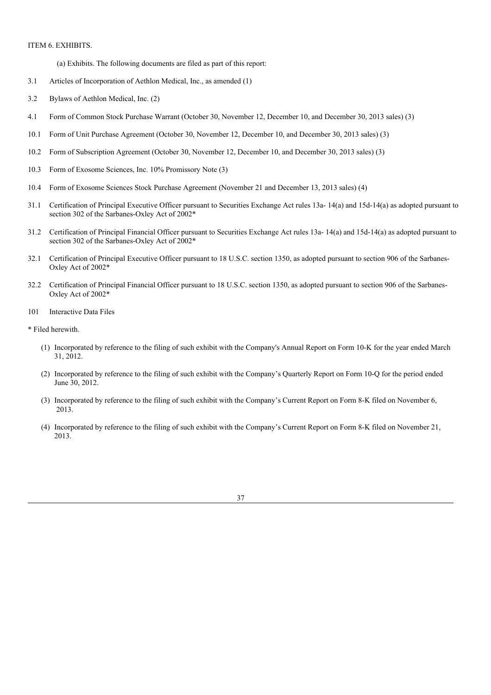#### ITEM 6. EXHIBITS.

(a) Exhibits. The following documents are filed as part of this report:

- 3.1 Articles of Incorporation of Aethlon Medical, Inc., as amended (1)
- 3.2 Bylaws of Aethlon Medical, Inc. (2)
- 4.1 Form of Common Stock Purchase Warrant (October 30, November 12, December 10, and December 30, 2013 sales) (3)
- 10.1 Form of Unit Purchase Agreement (October 30, November 12, December 10, and December 30, 2013 sales) (3)
- 10.2 Form of Subscription Agreement (October 30, November 12, December 10, and December 30, 2013 sales) (3)
- 10.3 Form of Exosome Sciences, Inc. 10% Promissory Note (3)
- 10.4 Form of Exosome Sciences Stock Purchase Agreement (November 21 and December 13, 2013 sales) (4)
- 31.1 Certification of Principal Executive Officer pursuant to Securities Exchange Act rules 13a- 14(a) and 15d-14(a) as adopted pursuant to section 302 of the Sarbanes-Oxley Act of 2002\*
- 31.2 Certification of Principal Financial Officer pursuant to Securities Exchange Act rules 13a- 14(a) and 15d-14(a) as adopted pursuant to section 302 of the Sarbanes-Oxley Act of 2002\*
- 32.1 Certification of Principal Executive Officer pursuant to 18 U.S.C. section 1350, as adopted pursuant to section 906 of the Sarbanes-Oxley Act of 2002\*
- 32.2 Certification of Principal Financial Officer pursuant to 18 U.S.C. section 1350, as adopted pursuant to section 906 of the Sarbanes-Oxley Act of 2002\*
- 101 Interactive Data Files
- \* Filed herewith.
	- (1) Incorporated by reference to the filing of such exhibit with the Company's Annual Report on Form 10-K for the year ended March 31, 2012.
	- (2) Incorporated by reference to the filing of such exhibit with the Company's Quarterly Report on Form 10-Q for the period ended June 30, 2012.
	- (3) Incorporated by reference to the filing of such exhibit with the Company's Current Report on Form 8-K filed on November 6, 2013.
	- (4) Incorporated by reference to the filing of such exhibit with the Company's Current Report on Form 8-K filed on November 21, 2013.

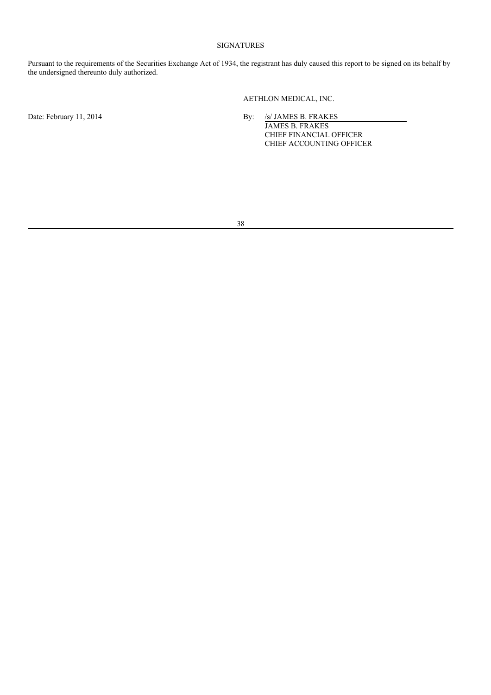## SIGNATURES

Pursuant to the requirements of the Securities Exchange Act of 1934, the registrant has duly caused this report to be signed on its behalf by the undersigned thereunto duly authorized.

Date: February 11, 2014 By: /s/ JAMES B. FRAKES

AETHLON MEDICAL, INC.

JAMES B. FRAKES CHIEF FINANCIAL OFFICER CHIEF ACCOUNTING OFFICER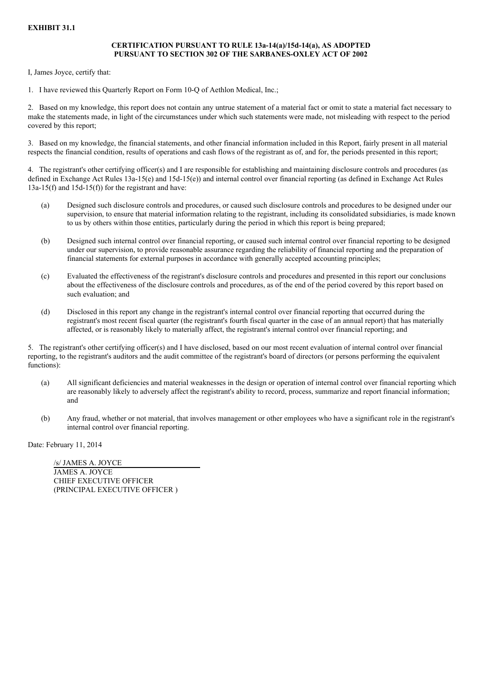## **EXHIBIT 31.1**

## **CERTIFICATION PURSUANT TO RULE 13a-14(a)/15d-14(a), AS ADOPTED PURSUANT TO SECTION 302 OF THE SARBANES-OXLEY ACT OF 2002**

I, James Joyce, certify that:

1. I have reviewed this Quarterly Report on Form 10-Q of Aethlon Medical, Inc.;

2. Based on my knowledge, this report does not contain any untrue statement of a material fact or omit to state a material fact necessary to make the statements made, in light of the circumstances under which such statements were made, not misleading with respect to the period covered by this report;

3. Based on my knowledge, the financial statements, and other financial information included in this Report, fairly present in all material respects the financial condition, results of operations and cash flows of the registrant as of, and for, the periods presented in this report;

4. The registrant's other certifying officer(s) and I are responsible for establishing and maintaining disclosure controls and procedures (as defined in Exchange Act Rules 13a-15(e) and 15d-15(e)) and internal control over financial reporting (as defined in Exchange Act Rules 13a-15(f) and 15d-15(f)) for the registrant and have:

- (a) Designed such disclosure controls and procedures, or caused such disclosure controls and procedures to be designed under our supervision, to ensure that material information relating to the registrant, including its consolidated subsidiaries, is made known to us by others within those entities, particularly during the period in which this report is being prepared;
- (b) Designed such internal control over financial reporting, or caused such internal control over financial reporting to be designed under our supervision, to provide reasonable assurance regarding the reliability of financial reporting and the preparation of financial statements for external purposes in accordance with generally accepted accounting principles;
- (c) Evaluated the effectiveness of the registrant's disclosure controls and procedures and presented in this report our conclusions about the effectiveness of the disclosure controls and procedures, as of the end of the period covered by this report based on such evaluation; and
- (d) Disclosed in this report any change in the registrant's internal control over financial reporting that occurred during the registrant's most recent fiscal quarter (the registrant's fourth fiscal quarter in the case of an annual report) that has materially affected, or is reasonably likely to materially affect, the registrant's internal control over financial reporting; and

5. The registrant's other certifying officer(s) and I have disclosed, based on our most recent evaluation of internal control over financial reporting, to the registrant's auditors and the audit committee of the registrant's board of directors (or persons performing the equivalent functions):

- (a) All significant deficiencies and material weaknesses in the design or operation of internal control over financial reporting which are reasonably likely to adversely affect the registrant's ability to record, process, summarize and report financial information; and
- (b) Any fraud, whether or not material, that involves management or other employees who have a significant role in the registrant's internal control over financial reporting.

Date: February 11, 2014

/s/ JAMES A. JOYCE JAMES A. JOYCE CHIEF EXECUTIVE OFFICER (PRINCIPAL EXECUTIVE OFFICER )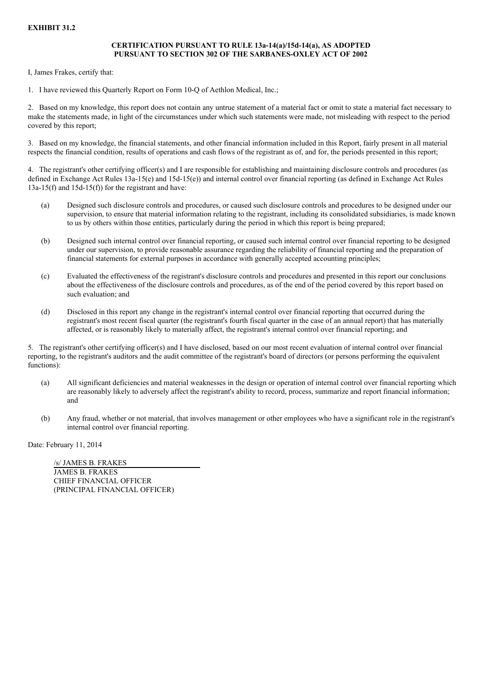## **EXHIBIT 31.2**

## **CERTIFICATION PURSUANT TO RULE 13a-14(a)/15d-14(a), AS ADOPTED PURSUANT TO SECTION 302 OF THE SARBANES-OXLEY ACT OF 2002**

I, James Frakes, certify that:

1. I have reviewed this Quarterly Report on Form 10-Q of Aethlon Medical, Inc.;

2. Based on my knowledge, this report does not contain any untrue statement of a material fact or omit to state a material fact necessary to make the statements made, in light of the circumstances under which such statements were made, not misleading with respect to the period covered by this report;

3. Based on my knowledge, the financial statements, and other financial information included in this Report, fairly present in all material respects the financial condition, results of operations and cash flows of the registrant as of, and for, the periods presented in this report;

4. The registrant's other certifying officer(s) and I are responsible for establishing and maintaining disclosure controls and procedures (as defined in Exchange Act Rules 13a-15(e) and 15d-15(e)) and internal control over financial reporting (as defined in Exchange Act Rules 13a-15(f) and 15d-15(f)) for the registrant and have:

- (a) Designed such disclosure controls and procedures, or caused such disclosure controls and procedures to be designed under our supervision, to ensure that material information relating to the registrant, including its consolidated subsidiaries, is made known to us by others within those entities, particularly during the period in which this report is being prepared;
- (b) Designed such internal control over financial reporting, or caused such internal control over financial reporting to be designed under our supervision, to provide reasonable assurance regarding the reliability of financial reporting and the preparation of financial statements for external purposes in accordance with generally accepted accounting principles;
- (c) Evaluated the effectiveness of the registrant's disclosure controls and procedures and presented in this report our conclusions about the effectiveness of the disclosure controls and procedures, as of the end of the period covered by this report based on such evaluation; and
- (d) Disclosed in this report any change in the registrant's internal control over financial reporting that occurred during the registrant's most recent fiscal quarter (the registrant's fourth fiscal quarter in the case of an annual report) that has materially affected, or is reasonably likely to materially affect, the registrant's internal control over financial reporting; and

5. The registrant's other certifying officer(s) and I have disclosed, based on our most recent evaluation of internal control over financial reporting, to the registrant's auditors and the audit committee of the registrant's board of directors (or persons performing the equivalent functions):

- (a) All significant deficiencies and material weaknesses in the design or operation of internal control over financial reporting which are reasonably likely to adversely affect the registrant's ability to record, process, summarize and report financial information; and
- (b) Any fraud, whether or not material, that involves management or other employees who have a significant role in the registrant's internal control over financial reporting.

Date: February 11, 2014

/s/ JAMES B. FRAKES JAMES B. FRAKES CHIEF FINANCIAL OFFICER (PRINCIPAL FINANCIAL OFFICER)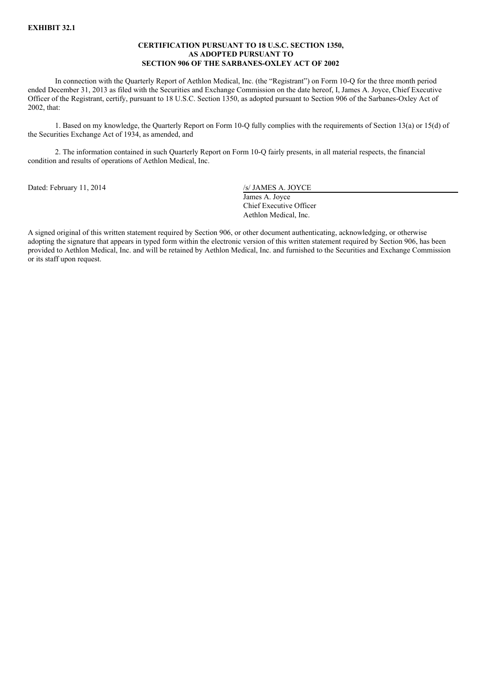#### **CERTIFICATION PURSUANT TO 18 U.S.C. SECTION 1350, AS ADOPTED PURSUANT TO SECTION 906 OF THE SARBANES-OXLEY ACT OF 2002**

In connection with the Quarterly Report of Aethlon Medical, Inc. (the "Registrant") on Form 10-Q for the three month period ended December 31, 2013 as filed with the Securities and Exchange Commission on the date hereof, I, James A. Joyce, Chief Executive Officer of the Registrant, certify, pursuant to 18 U.S.C. Section 1350, as adopted pursuant to Section 906 of the Sarbanes-Oxley Act of 2002, that:

1. Based on my knowledge, the Quarterly Report on Form 10-Q fully complies with the requirements of Section 13(a) or 15(d) of the Securities Exchange Act of 1934, as amended, and

2. The information contained in such Quarterly Report on Form 10-Q fairly presents, in all material respects, the financial condition and results of operations of Aethlon Medical, Inc.

Dated: February 11, 2014 /s/ JAMES A. JOYCE

James A. Joyce Chief Executive Officer Aethlon Medical, Inc.

A signed original of this written statement required by Section 906, or other document authenticating, acknowledging, or otherwise adopting the signature that appears in typed form within the electronic version of this written statement required by Section 906, has been provided to Aethlon Medical, Inc. and will be retained by Aethlon Medical, Inc. and furnished to the Securities and Exchange Commission or its staff upon request.